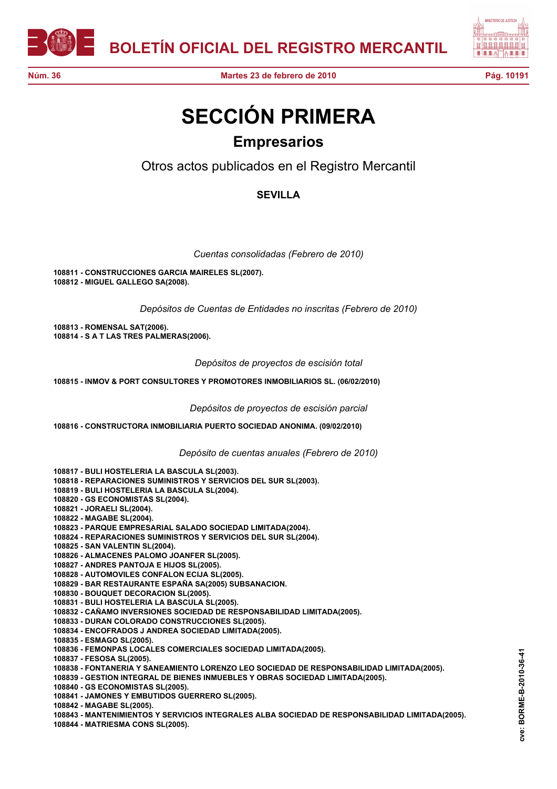



## **SECCIÓN PRIMERA Empresarios**

Otros actos publicados en el Registro Mercantil

## **SEVILLA**

*Cuentas consolidadas (Febrero de 2010)*

**108811 - CONSTRUCCIONES GARCIA MAIRELES SL(2007). 108812 - MIGUEL GALLEGO SA(2008).**

*Depósitos de Cuentas de Entidades no inscritas (Febrero de 2010)*

**108813 - ROMENSAL SAT(2006). 108814 - S A T LAS TRES PALMERAS(2006).**

*Depósitos de proyectos de escisión total*

**108815 - INMOV & PORT CONSULTORES Y PROMOTORES INMOBILIARIOS SL. (06/02/2010)**

*Depósitos de proyectos de escisión parcial*

**108816 - CONSTRUCTORA INMOBILIARIA PUERTO SOCIEDAD ANONIMA. (09/02/2010)**

*Depósito de cuentas anuales (Febrero de 2010)*

**108817 - BULI HOSTELERIA LA BASCULA SL(2003).**

**108818 - REPARACIONES SUMINISTROS Y SERVICIOS DEL SUR SL(2003).**

**108819 - BULI HOSTELERIA LA BASCULA SL(2004).**

**108820 - GS ECONOMISTAS SL(2004).**

**108821 - JORAELI SL(2004).**

**108822 - MAGABE SL(2004).**

**108823 - PARQUE EMPRESARIAL SALADO SOCIEDAD LIMITADA(2004).**

**108824 - REPARACIONES SUMINISTROS Y SERVICIOS DEL SUR SL(2004).**

**108825 - SAN VALENTIN SL(2004).**

**108826 - ALMACENES PALOMO JOANFER SL(2005).**

**108827 - ANDRES PANTOJA E HIJOS SL(2005).**

**108828 - AUTOMOVILES CONFALON ECIJA SL(2005).**

**108829 - BAR RESTAURANTE ESPAÑA SA(2005) SUBSANACION.**

**108830 - BOUQUET DECORACION SL(2005).**

**108831 - BULI HOSTELERIA LA BASCULA SL(2005).**

**108832 - CAÑAMO INVERSIONES SOCIEDAD DE RESPONSABILIDAD LIMITADA(2005).**

**108833 - DURAN COLORADO CONSTRUCCIONES SL(2005).**

**108834 - ENCOFRADOS J ANDREA SOCIEDAD LIMITADA(2005).**

**108835 - ESMAGO SL(2005).**

**108836 - FEMONPAS LOCALES COMERCIALES SOCIEDAD LIMITADA(2005).**

**108837 - FESOSA SL(2005).**

**108838 - FONTANERIA Y SANEAMIENTO LORENZO LEO SOCIEDAD DE RESPONSABILIDAD LIMITADA(2005).**

**108839 - GESTION INTEGRAL DE BIENES INMUEBLES Y OBRAS SOCIEDAD LIMITADA(2005).**

**108840 - GS ECONOMISTAS SL(2005).**

**108841 - JAMONES Y EMBUTIDOS GUERRERO SL(2005).**

**108842 - MAGABE SL(2005).**

**108843 - MANTENIMIENTOS Y SERVICIOS INTEGRALES ALBA SOCIEDAD DE RESPONSABILIDAD LIMITADA(2005).**

**108844 - MATRIESMA CONS SL(2005).**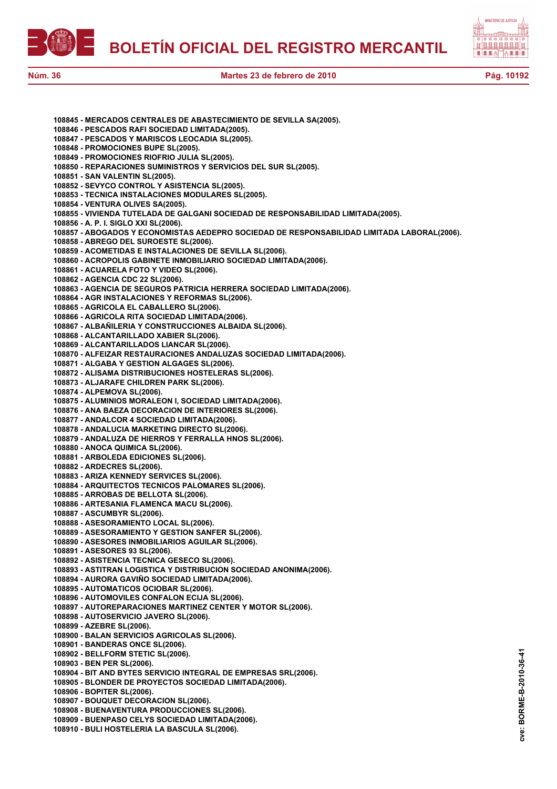



**108845 - MERCADOS CENTRALES DE ABASTECIMIENTO DE SEVILLA SA(2005). 108846 - PESCADOS RAFI SOCIEDAD LIMITADA(2005). 108847 - PESCADOS Y MARISCOS LEOCADIA SL(2005). 108848 - PROMOCIONES BUPE SL(2005). 108849 - PROMOCIONES RIOFRIO JULIA SL(2005). 108850 - REPARACIONES SUMINISTROS Y SERVICIOS DEL SUR SL(2005). 108851 - SAN VALENTIN SL(2005). 108852 - SEVYCO CONTROL Y ASISTENCIA SL(2005). 108853 - TECNICA INSTALACIONES MODULARES SL(2005). 108854 - VENTURA OLIVES SA(2005). 108855 - VIVIENDA TUTELADA DE GALGANI SOCIEDAD DE RESPONSABILIDAD LIMITADA(2005). 108856 - A. P. I. SIGLO XXI SL(2006). 108857 - ABOGADOS Y ECONOMISTAS AEDEPRO SOCIEDAD DE RESPONSABILIDAD LIMITADA LABORAL(2006). 108858 - ABREGO DEL SUROESTE SL(2006). 108859 - ACOMETIDAS E INSTALACIONES DE SEVILLA SL(2006). 108860 - ACROPOLIS GABINETE INMOBILIARIO SOCIEDAD LIMITADA(2006). 108861 - ACUARELA FOTO Y VIDEO SL(2006). 108862 - AGENCIA CDC 22 SL(2006). 108863 - AGENCIA DE SEGUROS PATRICIA HERRERA SOCIEDAD LIMITADA(2006). 108864 - AGR INSTALACIONES Y REFORMAS SL(2006). 108865 - AGRICOLA EL CABALLERO SL(2006). 108866 - AGRICOLA RITA SOCIEDAD LIMITADA(2006). 108867 - ALBAÑILERIA Y CONSTRUCCIONES ALBAIDA SL(2006). 108868 - ALCANTARILLADO XABIER SL(2006). 108869 - ALCANTARILLADOS LIANCAR SL(2006). 108870 - ALFEIZAR RESTAURACIONES ANDALUZAS SOCIEDAD LIMITADA(2006). 108871 - ALGABA Y GESTION ALGAGES SL(2006). 108872 - ALISAMA DISTRIBUCIONES HOSTELERAS SL(2006). 108873 - ALJARAFE CHILDREN PARK SL(2006). 108874 - ALPEMOVA SL(2006). 108875 - ALUMINIOS MORALEON I, SOCIEDAD LIMITADA(2006). 108876 - ANA BAEZA DECORACION DE INTERIORES SL(2006). 108877 - ANDALCOR 4 SOCIEDAD LIMITADA(2006). 108878 - ANDALUCIA MARKETING DIRECTO SL(2006). 108879 - ANDALUZA DE HIERROS Y FERRALLA HNOS SL(2006). 108880 - ANOCA QUIMICA SL(2006). 108881 - ARBOLEDA EDICIONES SL(2006). 108882 - ARDECRES SL(2006). 108883 - ARIZA KENNEDY SERVICES SL(2006). 108884 - ARQUITECTOS TECNICOS PALOMARES SL(2006). 108885 - ARROBAS DE BELLOTA SL(2006). 108886 - ARTESANIA FLAMENCA MACU SL(2006). 108887 - ASCUMBYR SL(2006). 108888 - ASESORAMIENTO LOCAL SL(2006). 108889 - ASESORAMIENTO Y GESTION SANFER SL(2006). 108890 - ASESORES INMOBILIARIOS AGUILAR SL(2006). 108891 - ASESORES 93 SL(2006). 108892 - ASISTENCIA TECNICA GESECO SL(2006). 108893 - ASTITRAN LOGISTICA Y DISTRIBUCION SOCIEDAD ANONIMA(2006). 108894 - AURORA GAVIÑO SOCIEDAD LIMITADA(2006). 108895 - AUTOMATICOS OCIOBAR SL(2006). 108896 - AUTOMOVILES CONFALON ECIJA SL(2006). 108897 - AUTOREPARACIONES MARTINEZ CENTER Y MOTOR SL(2006). 108898 - AUTOSERVICIO JAVERO SL(2006). 108899 - AZEBRE SL(2006). 108900 - BALAN SERVICIOS AGRICOLAS SL(2006). 108901 - BANDERAS ONCE SL(2006). 108902 - BELLFORM STETIC SL(2006). 108903 - BEN PER SL(2006). 108904 - BIT AND BYTES SERVICIO INTEGRAL DE EMPRESAS SRL(2006). 108905 - BLONDER DE PROYECTOS SOCIEDAD LIMITADA(2006). 108906 - BOPITER SL(2006). 108907 - BOUQUET DECORACION SL(2006). 108908 - BUENAVENTURA PRODUCCIONES SL(2006). 108909 - BUENPASO CELYS SOCIEDAD LIMITADA(2006). 108910 - BULI HOSTELERIA LA BASCULA SL(2006).**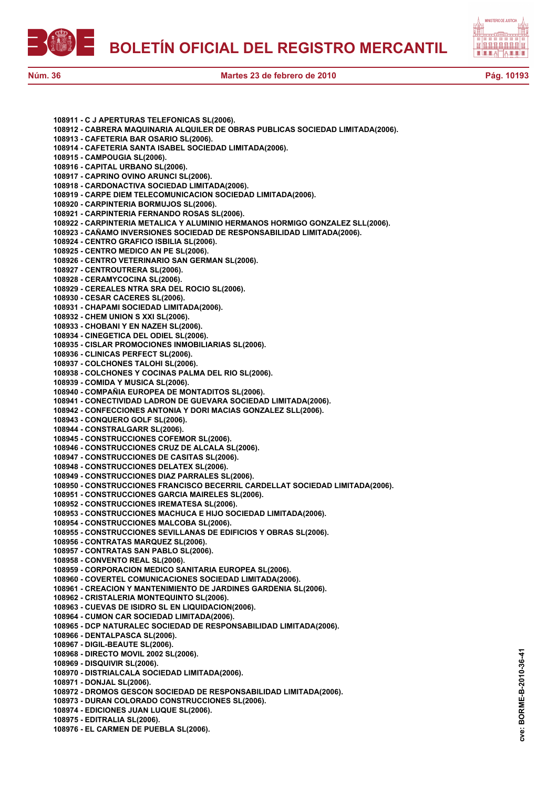



**108911 - C J APERTURAS TELEFONICAS SL(2006). 108912 - CABRERA MAQUINARIA ALQUILER DE OBRAS PUBLICAS SOCIEDAD LIMITADA(2006). 108913 - CAFETERIA BAR OSARIO SL(2006). 108914 - CAFETERIA SANTA ISABEL SOCIEDAD LIMITADA(2006). 108915 - CAMPOUGIA SL(2006). 108916 - CAPITAL URBANO SL(2006). 108917 - CAPRINO OVINO ARUNCI SL(2006). 108918 - CARDONACTIVA SOCIEDAD LIMITADA(2006). 108919 - CARPE DIEM TELECOMUNICACION SOCIEDAD LIMITADA(2006). 108920 - CARPINTERIA BORMUJOS SL(2006). 108921 - CARPINTERIA FERNANDO ROSAS SL(2006). 108922 - CARPINTERIA METALICA Y ALUMINIO HERMANOS HORMIGO GONZALEZ SLL(2006). 108923 - CAÑAMO INVERSIONES SOCIEDAD DE RESPONSABILIDAD LIMITADA(2006). 108924 - CENTRO GRAFICO ISBILIA SL(2006). 108925 - CENTRO MEDICO AN PE SL(2006). 108926 - CENTRO VETERINARIO SAN GERMAN SL(2006). 108927 - CENTROUTRERA SL(2006). 108928 - CERAMYCOCINA SL(2006). 108929 - CEREALES NTRA SRA DEL ROCIO SL(2006). 108930 - CESAR CACERES SL(2006). 108931 - CHAPAMI SOCIEDAD LIMITADA(2006). 108932 - CHEM UNION S XXI SL(2006). 108933 - CHOBANI Y EN NAZEH SL(2006). 108934 - CINEGETICA DEL ODIEL SL(2006). 108935 - CISLAR PROMOCIONES INMOBILIARIAS SL(2006). 108936 - CLINICAS PERFECT SL(2006). 108937 - COLCHONES TALOHI SL(2006). 108938 - COLCHONES Y COCINAS PALMA DEL RIO SL(2006). 108939 - COMIDA Y MUSICA SL(2006). 108940 - COMPAÑIA EUROPEA DE MONTADITOS SL(2006). 108941 - CONECTIVIDAD LADRON DE GUEVARA SOCIEDAD LIMITADA(2006). 108942 - CONFECCIONES ANTONIA Y DORI MACIAS GONZALEZ SLL(2006). 108943 - CONQUERO GOLF SL(2006). 108944 - CONSTRALGARR SL(2006). 108945 - CONSTRUCCIONES COFEMOR SL(2006). 108946 - CONSTRUCCIONES CRUZ DE ALCALA SL(2006). 108947 - CONSTRUCCIONES DE CASITAS SL(2006). 108948 - CONSTRUCCIONES DELATEX SL(2006). 108949 - CONSTRUCCIONES DIAZ PARRALES SL(2006). 108950 - CONSTRUCCIONES FRANCISCO BECERRIL CARDELLAT SOCIEDAD LIMITADA(2006). 108951 - CONSTRUCCIONES GARCIA MAIRELES SL(2006). 108952 - CONSTRUCCIONES IREMATESA SL(2006). 108953 - CONSTRUCCIONES MACHUCA E HIJO SOCIEDAD LIMITADA(2006). 108954 - CONSTRUCCIONES MALCOBA SL(2006). 108955 - CONSTRUCCIONES SEVILLANAS DE EDIFICIOS Y OBRAS SL(2006). 108956 - CONTRATAS MARQUEZ SL(2006). 108957 - CONTRATAS SAN PABLO SL(2006). 108958 - CONVENTO REAL SL(2006). 108959 - CORPORACION MEDICO SANITARIA EUROPEA SL(2006). 108960 - COVERTEL COMUNICACIONES SOCIEDAD LIMITADA(2006). 108961 - CREACION Y MANTENIMIENTO DE JARDINES GARDENIA SL(2006). 108962 - CRISTALERIA MONTEQUINTO SL(2006). 108963 - CUEVAS DE ISIDRO SL EN LIQUIDACION(2006). 108964 - CUMON CAR SOCIEDAD LIMITADA(2006). 108965 - DCP NATURALEC SOCIEDAD DE RESPONSABILIDAD LIMITADA(2006). 108966 - DENTALPASCA SL(2006). 108967 - DIGIL-BEAUTE SL(2006). 108968 - DIRECTO MOVIL 2002 SL(2006). 108969 - DISQUIVIR SL(2006). 108970 - DISTRIALCALA SOCIEDAD LIMITADA(2006). 108971 - DONJAL SL(2006). 108972 - DROMOS GESCON SOCIEDAD DE RESPONSABILIDAD LIMITADA(2006). 108973 - DURAN COLORADO CONSTRUCCIONES SL(2006). 108974 - EDICIONES JUAN LUQUE SL(2006). 108975 - EDITRALIA SL(2006).**

**108976 - EL CARMEN DE PUEBLA SL(2006).**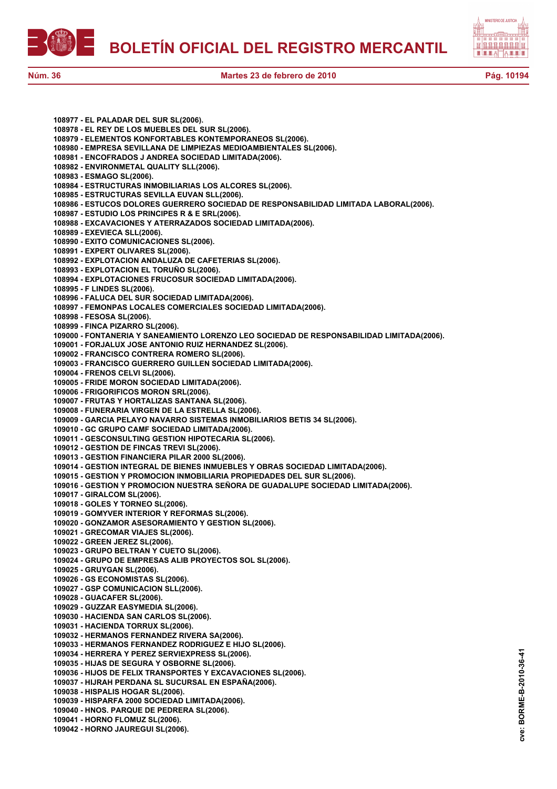



**108977 - EL PALADAR DEL SUR SL(2006). 108978 - EL REY DE LOS MUEBLES DEL SUR SL(2006). 108979 - ELEMENTOS KONFORTABLES KONTEMPORANEOS SL(2006). 108980 - EMPRESA SEVILLANA DE LIMPIEZAS MEDIOAMBIENTALES SL(2006). 108981 - ENCOFRADOS J ANDREA SOCIEDAD LIMITADA(2006). 108982 - ENVIRONMETAL QUALITY SLL(2006). 108983 - ESMAGO SL(2006). 108984 - ESTRUCTURAS INMOBILIARIAS LOS ALCORES SL(2006). 108985 - ESTRUCTURAS SEVILLA EUVAN SLL(2006). 108986 - ESTUCOS DOLORES GUERRERO SOCIEDAD DE RESPONSABILIDAD LIMITADA LABORAL(2006). 108987 - ESTUDIO LOS PRINCIPES R & E SRL(2006). 108988 - EXCAVACIONES Y ATERRAZADOS SOCIEDAD LIMITADA(2006). 108989 - EXEVIECA SLL(2006). 108990 - EXITO COMUNICACIONES SL(2006). 108991 - EXPERT OLIVARES SL(2006). 108992 - EXPLOTACION ANDALUZA DE CAFETERIAS SL(2006). 108993 - EXPLOTACION EL TORUÑO SL(2006). 108994 - EXPLOTACIONES FRUCOSUR SOCIEDAD LIMITADA(2006). 108995 - F LINDES SL(2006). 108996 - FALUCA DEL SUR SOCIEDAD LIMITADA(2006). 108997 - FEMONPAS LOCALES COMERCIALES SOCIEDAD LIMITADA(2006). 108998 - FESOSA SL(2006). 108999 - FINCA PIZARRO SL(2006). 109000 - FONTANERIA Y SANEAMIENTO LORENZO LEO SOCIEDAD DE RESPONSABILIDAD LIMITADA(2006). 109001 - FORJALUX JOSE ANTONIO RUIZ HERNANDEZ SL(2006). 109002 - FRANCISCO CONTRERA ROMERO SL(2006). 109003 - FRANCISCO GUERRERO GUILLEN SOCIEDAD LIMITADA(2006). 109004 - FRENOS CELVI SL(2006). 109005 - FRIDE MORON SOCIEDAD LIMITADA(2006). 109006 - FRIGORIFICOS MORON SRL(2006). 109007 - FRUTAS Y HORTALIZAS SANTANA SL(2006). 109008 - FUNERARIA VIRGEN DE LA ESTRELLA SL(2006). 109009 - GARCIA PELAYO NAVARRO SISTEMAS INMOBILIARIOS BETIS 34 SL(2006). 109010 - GC GRUPO CAMF SOCIEDAD LIMITADA(2006). 109011 - GESCONSULTING GESTION HIPOTECARIA SL(2006). 109012 - GESTION DE FINCAS TREVI SL(2006). 109013 - GESTION FINANCIERA PILAR 2000 SL(2006). 109014 - GESTION INTEGRAL DE BIENES INMUEBLES Y OBRAS SOCIEDAD LIMITADA(2006). 109015 - GESTION Y PROMOCION INMOBILIARIA PROPIEDADES DEL SUR SL(2006). 109016 - GESTION Y PROMOCION NUESTRA SEÑORA DE GUADALUPE SOCIEDAD LIMITADA(2006). 109017 - GIRALCOM SL(2006). 109018 - GOLES Y TORNEO SL(2006). 109019 - GOMYVER INTERIOR Y REFORMAS SL(2006). 109020 - GONZAMOR ASESORAMIENTO Y GESTION SL(2006). 109021 - GRECOMAR VIAJES SL(2006). 109022 - GREEN JEREZ SL(2006). 109023 - GRUPO BELTRAN Y CUETO SL(2006). 109024 - GRUPO DE EMPRESAS ALIB PROYECTOS SOL SL(2006). 109025 - GRUYGAN SL(2006). 109026 - GS ECONOMISTAS SL(2006). 109027 - GSP COMUNICACION SLL(2006). 109028 - GUACAFER SL(2006). 109029 - GUZZAR EASYMEDIA SL(2006). 109030 - HACIENDA SAN CARLOS SL(2006). 109031 - HACIENDA TORRUX SL(2006). 109032 - HERMANOS FERNANDEZ RIVERA SA(2006). 109033 - HERMANOS FERNANDEZ RODRIGUEZ E HIJO SL(2006). 109034 - HERRERA Y PEREZ SERVIEXPRESS SL(2006). 109035 - HIJAS DE SEGURA Y OSBORNE SL(2006). 109036 - HIJOS DE FELIX TRANSPORTES Y EXCAVACIONES SL(2006). 109037 - HIJRAH PERDANA SL SUCURSAL EN ESPAÑA(2006). 109038 - HISPALIS HOGAR SL(2006). 109039 - HISPARFA 2000 SOCIEDAD LIMITADA(2006). 109040 - HNOS. PARQUE DE PEDRERA SL(2006). 109041 - HORNO FLOMUZ SL(2006). 109042 - HORNO JAUREGUI SL(2006).**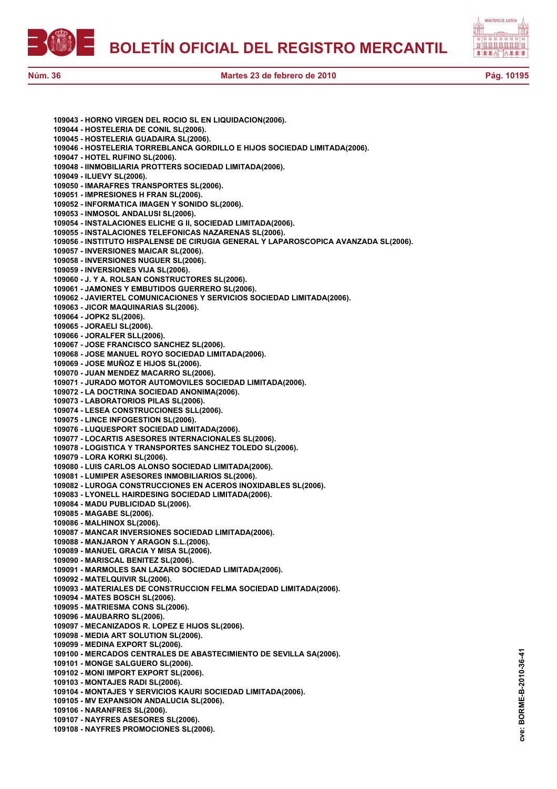



| 109043 - HORNO VIRGEN DEL ROCIO SL EN LIQUIDACION(2006).                                                   |
|------------------------------------------------------------------------------------------------------------|
| 109044 - HOSTELERIA DE CONIL SL(2006).                                                                     |
| 109045 - HOSTELERIA GUADAIRA SL(2006).                                                                     |
| 109046 - HOSTELERIA TORREBLANCA GORDILLO E HIJOS SOCIEDAD LIMITADA(2006).                                  |
| 109047 - HOTEL RUFINO SL(2006).                                                                            |
| 109048 - IINMOBILIARIA PROTTERS SOCIEDAD LIMITADA(2006).                                                   |
| 109049 - ILUEVY SL(2006).                                                                                  |
| 109050 - IMARAFRES TRANSPORTES SL(2006).                                                                   |
| 109051 - IMPRESIONES H FRAN SL(2006).                                                                      |
| 109052 - INFORMATICA IMAGEN Y SONIDO SL(2006).                                                             |
| 109053 - INMOSOL ANDALUSI SL(2006).                                                                        |
| 109054 - INSTALACIONES ELICHE G II, SOCIEDAD LIMITADA(2006).                                               |
| 109055 - INSTALACIONES TELEFONICAS NAZARENAS SL(2006).                                                     |
| 109056 - INSTITUTO HISPALENSE DE CIRUGIA GENERAL Y LAPAROSCOPICA AVANZADA SL(2006).                        |
| 109057 - INVERSIONES MAICAR SL(2006).                                                                      |
| 109058 - INVERSIONES NUGUER SL(2006).                                                                      |
| 109059 - INVERSIONES VIJA SL(2006).                                                                        |
| 109060 - J. Y A. ROLSAN CONSTRUCTORES SL(2006).                                                            |
| 109061 - JAMONES Y EMBUTIDOS GUERRERO SL(2006).                                                            |
| 109062 - JAVIERTEL COMUNICACIONES Y SERVICIOS SOCIEDAD LIMITADA(2006).                                     |
| 109063 - JICOR MAQUINARIAS SL(2006).                                                                       |
| 109064 - JOPK2 SL(2006).                                                                                   |
| 109065 - JORAELI SL(2006).                                                                                 |
| 109066 - JORALFER SLL(2006).                                                                               |
| 109067 - JOSE FRANCISCO SANCHEZ SL(2006).                                                                  |
| 109068 - JOSE MANUEL ROYO SOCIEDAD LIMITADA(2006).                                                         |
| 109069 - JOSE MUÑOZ E HIJOS SL(2006).                                                                      |
| 109070 - JUAN MENDEZ MACARRO SL(2006).                                                                     |
| 109071 - JURADO MOTOR AUTOMOVILES SOCIEDAD LIMITADA(2006).<br>109072 - LA DOCTRINA SOCIEDAD ANONIMA(2006). |
| 109073 - LABORATORIOS PILAS SL(2006).                                                                      |
| 109074 - LESEA CONSTRUCCIONES SLL(2006).                                                                   |
| 109075 - LINCE INFOGESTION SL(2006).                                                                       |
| 109076 - LUQUESPORT SOCIEDAD LIMITADA(2006).                                                               |
| 109077 - LOCARTIS ASESORES INTERNACIONALES SL(2006).                                                       |
| 109078 - LOGISTICA Y TRANSPORTES SANCHEZ TOLEDO SL(2006).                                                  |
| 109079 - LORA KORKI SL(2006).                                                                              |
| 109080 - LUIS CARLOS ALONSO SOCIEDAD LIMITADA(2006).                                                       |
| 109081 - LUMIPER ASESORES INMOBILIARIOS SL(2006).                                                          |
| 109082 - LUROGA CONSTRUCCIONES EN ACEROS INOXIDABLES SL(2006).                                             |
| 109083 - LYONELL HAIRDESING SOCIEDAD LIMITADA(2006).                                                       |
| 109084 - MADU PUBLICIDAD SL(2006).                                                                         |
| 109085 - MAGABE SL(2006).                                                                                  |
| 109086 - MALHINOX SL(2006).                                                                                |
| 109087 - MANCAR INVERSIONES SOCIEDAD LIMITADA(2006).                                                       |
| 109088 - MANJARON Y ARAGON S.L.(2006).                                                                     |
| 109089 - MANUEL GRACIA Y MISA SL(2006).                                                                    |
| 109090 - MARISCAL BENITEZ SL(2006).                                                                        |
| 109091 - MARMOLES SAN LAZARO SOCIEDAD LIMITADA(2006).                                                      |
| 109092 - MATELQUIVIR SL(2006).                                                                             |
| 109093 - MATERIALES DE CONSTRUCCION FELMA SOCIEDAD LIMITADA(2006).                                         |
| 109094 - MATES BOSCH SL(2006).                                                                             |
| 109095 - MATRIESMA CONS SL(2006).                                                                          |
| 109096 - MAUBARRO SL(2006).                                                                                |
| 109097 - MECANIZADOS R. LOPEZ E HIJOS SL(2006).                                                            |
| 109098 - MEDIA ART SOLUTION SL(2006).                                                                      |
| 109099 - MEDINA EXPORT SL(2006).                                                                           |
| 109100 - MERCADOS CENTRALES DE ABASTECIMIENTO DE SEVILLA SA(2006).                                         |
| 109101 - MONGE SALGUERO SL(2006).                                                                          |
| 109102 - MONI IMPORT EXPORT SL(2006).                                                                      |
| 109103 - MONTAJES RADI SL(2006).                                                                           |
| 109104 - MONTAJES Y SERVICIOS KAURI SOCIEDAD LIMITADA(2006).                                               |
| 109105 - MV EXPANSION ANDALUCIA SL(2006).                                                                  |
| 109106 - NARANFRES SL(2006).                                                                               |
| 109107 - NAYFRES ASESORES SL(2006).                                                                        |
| 109108 - NAYFRES PROMOCIONES SL(2006).                                                                     |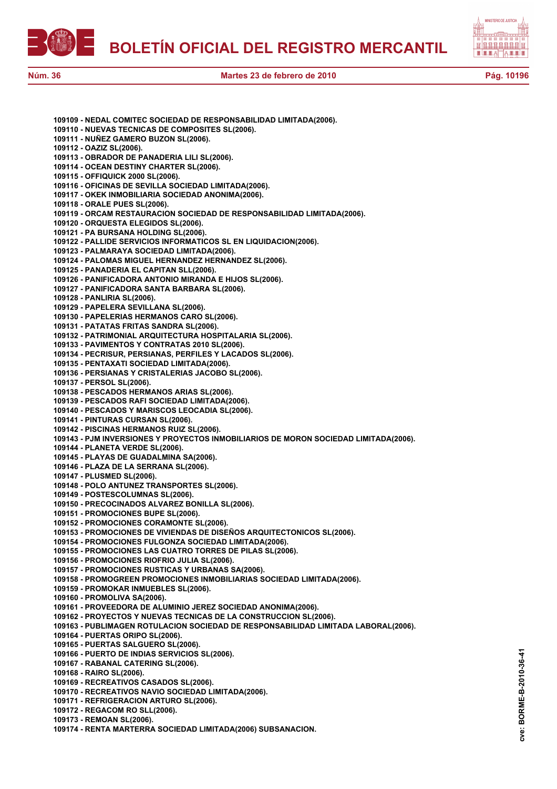



**109109 - NEDAL COMITEC SOCIEDAD DE RESPONSABILIDAD LIMITADA(2006). 109110 - NUEVAS TECNICAS DE COMPOSITES SL(2006). 109111 - NUÑEZ GAMERO BUZON SL(2006). 109112 - OAZIZ SL(2006). 109113 - OBRADOR DE PANADERIA LILI SL(2006). 109114 - OCEAN DESTINY CHARTER SL(2006). 109115 - OFFIQUICK 2000 SL(2006). 109116 - OFICINAS DE SEVILLA SOCIEDAD LIMITADA(2006). 109117 - OKEK INMOBILIARIA SOCIEDAD ANONIMA(2006). 109118 - ORALE PUES SL(2006). 109119 - ORCAM RESTAURACION SOCIEDAD DE RESPONSABILIDAD LIMITADA(2006). 109120 - ORQUESTA ELEGIDOS SL(2006). 109121 - PA BURSANA HOLDING SL(2006). 109122 - PALLIDE SERVICIOS INFORMATICOS SL EN LIQUIDACION(2006). 109123 - PALMARAYA SOCIEDAD LIMITADA(2006). 109124 - PALOMAS MIGUEL HERNANDEZ HERNANDEZ SL(2006). 109125 - PANADERIA EL CAPITAN SLL(2006). 109126 - PANIFICADORA ANTONIO MIRANDA E HIJOS SL(2006). 109127 - PANIFICADORA SANTA BARBARA SL(2006). 109128 - PANLIRIA SL(2006). 109129 - PAPELERA SEVILLANA SL(2006). 109130 - PAPELERIAS HERMANOS CARO SL(2006). 109131 - PATATAS FRITAS SANDRA SL(2006). 109132 - PATRIMONIAL ARQUITECTURA HOSPITALARIA SL(2006). 109133 - PAVIMENTOS Y CONTRATAS 2010 SL(2006). 109134 - PECRISUR, PERSIANAS, PERFILES Y LACADOS SL(2006). 109135 - PENTAXATI SOCIEDAD LIMITADA(2006). 109136 - PERSIANAS Y CRISTALERIAS JACOBO SL(2006). 109137 - PERSOL SL(2006). 109138 - PESCADOS HERMANOS ARIAS SL(2006). 109139 - PESCADOS RAFI SOCIEDAD LIMITADA(2006). 109140 - PESCADOS Y MARISCOS LEOCADIA SL(2006). 109141 - PINTURAS CURSAN SL(2006). 109142 - PISCINAS HERMANOS RUIZ SL(2006). 109143 - PJM INVERSIONES Y PROYECTOS INMOBILIARIOS DE MORON SOCIEDAD LIMITADA(2006). 109144 - PLANETA VERDE SL(2006). 109145 - PLAYAS DE GUADALMINA SA(2006). 109146 - PLAZA DE LA SERRANA SL(2006). 109147 - PLUSMED SL(2006). 109148 - POLO ANTUNEZ TRANSPORTES SL(2006). 109149 - POSTESCOLUMNAS SL(2006). 109150 - PRECOCINADOS ALVAREZ BONILLA SL(2006). 109151 - PROMOCIONES BUPE SL(2006). 109152 - PROMOCIONES CORAMONTE SL(2006). 109153 - PROMOCIONES DE VIVIENDAS DE DISEÑOS ARQUITECTONICOS SL(2006). 109154 - PROMOCIONES FULGONZA SOCIEDAD LIMITADA(2006). 109155 - PROMOCIONES LAS CUATRO TORRES DE PILAS SL(2006). 109156 - PROMOCIONES RIOFRIO JULIA SL(2006). 109157 - PROMOCIONES RUSTICAS Y URBANAS SA(2006). 109158 - PROMOGREEN PROMOCIONES INMOBILIARIAS SOCIEDAD LIMITADA(2006). 109159 - PROMOKAR INMUEBLES SL(2006). 109160 - PROMOLIVA SA(2006). 109161 - PROVEEDORA DE ALUMINIO JEREZ SOCIEDAD ANONIMA(2006). 109162 - PROYECTOS Y NUEVAS TECNICAS DE LA CONSTRUCCION SL(2006). 109163 - PUBLIMAGEN ROTULACION SOCIEDAD DE RESPONSABILIDAD LIMITADA LABORAL(2006). 109164 - PUERTAS ORIPO SL(2006). 109165 - PUERTAS SALGUERO SL(2006). 109166 - PUERTO DE INDIAS SERVICIOS SL(2006). 109167 - RABANAL CATERING SL(2006). 109168 - RAIRO SL(2006). 109169 - RECREATIVOS CASADOS SL(2006). 109170 - RECREATIVOS NAVIO SOCIEDAD LIMITADA(2006). 109171 - REFRIGERACION ARTURO SL(2006). 109172 - REGACOM RO SLL(2006). 109173 - REMOAN SL(2006). 109174 - RENTA MARTERRA SOCIEDAD LIMITADA(2006) SUBSANACION.**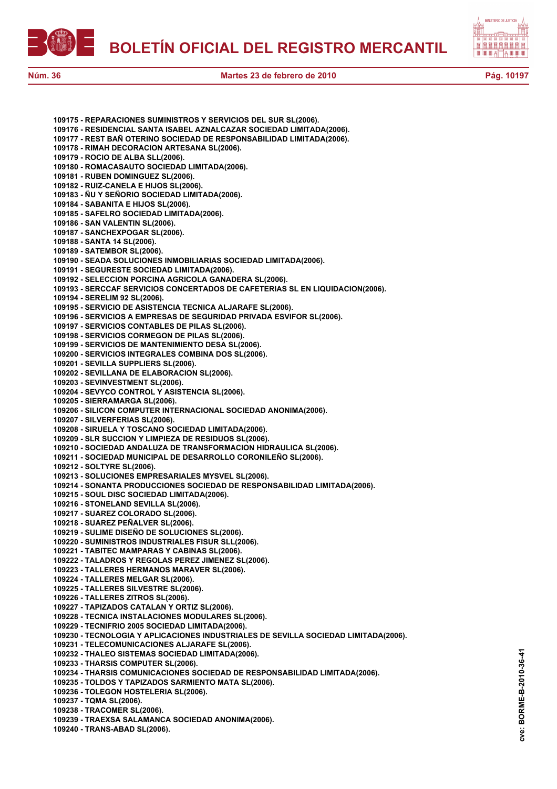



**109175 - REPARACIONES SUMINISTROS Y SERVICIOS DEL SUR SL(2006). 109176 - RESIDENCIAL SANTA ISABEL AZNALCAZAR SOCIEDAD LIMITADA(2006). 109177 - REST BAÑ OTERINO SOCIEDAD DE RESPONSABILIDAD LIMITADA(2006). 109178 - RIMAH DECORACION ARTESANA SL(2006). 109179 - ROCIO DE ALBA SLL(2006). 109180 - ROMACASAUTO SOCIEDAD LIMITADA(2006). 109181 - RUBEN DOMINGUEZ SL(2006). 109182 - RUIZ-CANELA E HIJOS SL(2006). 109183 - ÑU Y SEÑORIO SOCIEDAD LIMITADA(2006). 109184 - SABANITA E HIJOS SL(2006). 109185 - SAFELRO SOCIEDAD LIMITADA(2006). 109186 - SAN VALENTIN SL(2006). 109187 - SANCHEXPOGAR SL(2006). 109188 - SANTA 14 SL(2006). 109189 - SATEMBOR SL(2006). 109190 - SEADA SOLUCIONES INMOBILIARIAS SOCIEDAD LIMITADA(2006). 109191 - SEGURESTE SOCIEDAD LIMITADA(2006). 109192 - SELECCION PORCINA AGRICOLA GANADERA SL(2006). 109193 - SERCCAF SERVICIOS CONCERTADOS DE CAFETERIAS SL EN LIQUIDACION(2006). 109194 - SERELIM 92 SL(2006). 109195 - SERVICIO DE ASISTENCIA TECNICA ALJARAFE SL(2006). 109196 - SERVICIOS A EMPRESAS DE SEGURIDAD PRIVADA ESVIFOR SL(2006). 109197 - SERVICIOS CONTABLES DE PILAS SL(2006). 109198 - SERVICIOS CORMEGON DE PILAS SL(2006). 109199 - SERVICIOS DE MANTENIMIENTO DESA SL(2006). 109200 - SERVICIOS INTEGRALES COMBINA DOS SL(2006). 109201 - SEVILLA SUPPLIERS SL(2006). 109202 - SEVILLANA DE ELABORACION SL(2006). 109203 - SEVINVESTMENT SL(2006). 109204 - SEVYCO CONTROL Y ASISTENCIA SL(2006). 109205 - SIERRAMARGA SL(2006). 109206 - SILICON COMPUTER INTERNACIONAL SOCIEDAD ANONIMA(2006). 109207 - SILVERFERIAS SL(2006). 109208 - SIRUELA Y TOSCANO SOCIEDAD LIMITADA(2006). 109209 - SLR SUCCION Y LIMPIEZA DE RESIDUOS SL(2006). 109210 - SOCIEDAD ANDALUZA DE TRANSFORMACION HIDRAULICA SL(2006). 109211 - SOCIEDAD MUNICIPAL DE DESARROLLO CORONILEÑO SL(2006). 109212 - SOLTYRE SL(2006). 109213 - SOLUCIONES EMPRESARIALES MYSVEL SL(2006). 109214 - SONANTA PRODUCCIONES SOCIEDAD DE RESPONSABILIDAD LIMITADA(2006). 109215 - SOUL DISC SOCIEDAD LIMITADA(2006). 109216 - STONELAND SEVILLA SL(2006). 109217 - SUAREZ COLORADO SL(2006). 109218 - SUAREZ PEÑALVER SL(2006). 109219 - SULIME DISEÑO DE SOLUCIONES SL(2006). 109220 - SUMINISTROS INDUSTRIALES FISUR SLL(2006). 109221 - TABITEC MAMPARAS Y CABINAS SL(2006). 109222 - TALADROS Y REGOLAS PEREZ JIMENEZ SL(2006). 109223 - TALLERES HERMANOS MARAVER SL(2006). 109224 - TALLERES MELGAR SL(2006). 109225 - TALLERES SILVESTRE SL(2006). 109226 - TALLERES ZITROS SL(2006). 109227 - TAPIZADOS CATALAN Y ORTIZ SL(2006). 109228 - TECNICA INSTALACIONES MODULARES SL(2006). 109229 - TECNIFRIO 2005 SOCIEDAD LIMITADA(2006). 109230 - TECNOLOGIA Y APLICACIONES INDUSTRIALES DE SEVILLA SOCIEDAD LIMITADA(2006). 109231 - TELECOMUNICACIONES ALJARAFE SL(2006). 109232 - THALEO SISTEMAS SOCIEDAD LIMITADA(2006). 109233 - THARSIS COMPUTER SL(2006). 109234 - THARSIS COMUNICACIONES SOCIEDAD DE RESPONSABILIDAD LIMITADA(2006). 109235 - TOLDOS Y TAPIZADOS SARMIENTO MATA SL(2006). 109236 - TOLEGON HOSTELERIA SL(2006). 109237 - TQMA SL(2006). 109238 - TRACOMER SL(2006). 109239 - TRAEXSA SALAMANCA SOCIEDAD ANONIMA(2006).**

**109240 - TRANS-ABAD SL(2006).**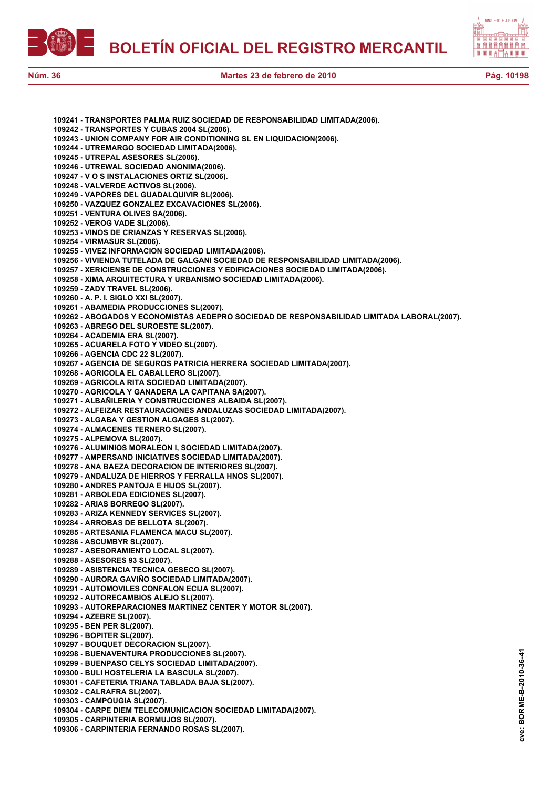



|  | 109241 - TRANSPORTES PALMA RUIZ SOCIEDAD DE RESPONSABILIDAD LIMITADA(2006).                 |
|--|---------------------------------------------------------------------------------------------|
|  | 109242 - TRANSPORTES Y CUBAS 2004 SL(2006).                                                 |
|  | 109243 - UNION COMPANY FOR AIR CONDITIONING SL EN LIQUIDACION(2006).                        |
|  | 109244 - UTREMARGO SOCIEDAD LIMITADA(2006).                                                 |
|  |                                                                                             |
|  | 109245 - UTREPAL ASESORES SL(2006).                                                         |
|  | 109246 - UTREWAL SOCIEDAD ANONIMA(2006).                                                    |
|  | 109247 - V O S INSTALACIONES ORTIZ SL(2006).                                                |
|  | 109248 - VALVERDE ACTIVOS SL(2006).                                                         |
|  | 109249 - VAPORES DEL GUADALQUIVIR SL(2006).                                                 |
|  | 109250 - VAZQUEZ GONZALEZ EXCAVACIONES SL(2006).                                            |
|  | 109251 - VENTURA OLIVES SA(2006).                                                           |
|  | 109252 - VEROG VADE SL(2006).                                                               |
|  | 109253 - VINOS DE CRIANZAS Y RESERVAS SL(2006).                                             |
|  |                                                                                             |
|  | 109254 - VIRMASUR SL(2006).                                                                 |
|  | 109255 - VIVEZ INFORMACION SOCIEDAD LIMITADA(2006).                                         |
|  | 109256 - VIVIENDA TUTELADA DE GALGANI SOCIEDAD DE RESPONSABILIDAD LIMITADA(2006).           |
|  | 109257 - XERICIENSE DE CONSTRUCCIONES Y EDIFICACIONES SOCIEDAD LIMITADA(2006).              |
|  | 109258 - XIMA ARQUITECTURA Y URBANISMO SOCIEDAD LIMITADA(2006).                             |
|  | 109259 - ZADY TRAVEL SL(2006).                                                              |
|  | 109260 - A. P. I. SIGLO XXI SL(2007).                                                       |
|  |                                                                                             |
|  | 109261 - ABAMEDIA PRODUCCIONES SL(2007).                                                    |
|  | 109262 - ABOGADOS Y ECONOMISTAS AEDEPRO SOCIEDAD DE RESPONSABILIDAD LIMITADA LABORAL(2007). |
|  | 109263 - ABREGO DEL SUROESTE SL(2007).                                                      |
|  | 109264 - ACADEMIA ERA SL(2007).                                                             |
|  | 109265 - ACUARELA FOTO Y VIDEO SL(2007).                                                    |
|  | 109266 - AGENCIA CDC 22 SL(2007).                                                           |
|  | 109267 - AGENCIA DE SEGUROS PATRICIA HERRERA SOCIEDAD LIMITADA(2007).                       |
|  |                                                                                             |
|  | 109268 - AGRICOLA EL CABALLERO SL(2007).                                                    |
|  | 109269 - AGRICOLA RITA SOCIEDAD LIMITADA(2007).                                             |
|  | 109270 - AGRICOLA Y GANADERA LA CAPITANA SA(2007).                                          |
|  | 109271 - ALBAÑILERIA Y CONSTRUCCIONES ALBAIDA SL(2007).                                     |
|  | 109272 - ALFEIZAR RESTAURACIONES ANDALUZAS SOCIEDAD LIMITADA(2007).                         |
|  | 109273 - ALGABA Y GESTION ALGAGES SL(2007).                                                 |
|  | 109274 - ALMACENES TERNERO SL(2007).                                                        |
|  |                                                                                             |
|  | 109275 - ALPEMOVA SL(2007).                                                                 |
|  | 109276 - ALUMINIOS MORALEON I, SOCIEDAD LIMITADA(2007).                                     |
|  | 109277 - AMPERSAND INICIATIVES SOCIEDAD LIMITADA(2007).                                     |
|  | 109278 - ANA BAEZA DECORACION DE INTERIORES SL(2007).                                       |
|  | 109279 - ANDALUZA DE HIERROS Y FERRALLA HNOS SL(2007).                                      |
|  | 109280 - ANDRES PANTOJA E HIJOS SL(2007).                                                   |
|  | 109281 - ARBOLEDA EDICIONES SL(2007).                                                       |
|  |                                                                                             |
|  | 109282 - ARIAS BORREGO SL(2007).                                                            |
|  | 109283 - ARIZA KENNEDY SERVICES SL(2007).                                                   |
|  | 109284 - ARROBAS DE BELLOTA SL(2007).                                                       |
|  | 109285 - ARTESANIA FLAMENCA MACU SL(2007).                                                  |
|  | 109286 - ASCUMBYR SL(2007).                                                                 |
|  | 109287 - ASESORAMIENTO LOCAL SL(2007).                                                      |
|  | 109288 - ASESORES 93 SL(2007).                                                              |
|  | 109289 - ASISTENCIA TECNICA GESECO SL(2007).                                                |
|  | 109290 - AURORA GAVIÑO SOCIEDAD LIMITADA(2007).                                             |
|  |                                                                                             |
|  | 109291 - AUTOMOVILES CONFALON ECIJA SL(2007).                                               |
|  | 109292 - AUTORECAMBIOS ALEJO SL(2007).                                                      |
|  | 109293 - AUTOREPARACIONES MARTINEZ CENTER Y MOTOR SL(2007).                                 |
|  | 109294 - AZEBRE SL(2007).                                                                   |
|  | 109295 - BEN PER SL(2007).                                                                  |
|  | 109296 - BOPITER SL(2007).                                                                  |
|  | 109297 - BOUQUET DECORACION SL(2007).                                                       |
|  |                                                                                             |
|  | 109298 - BUENAVENTURA PRODUCCIONES SL(2007).                                                |
|  | 109299 - BUENPASO CELYS SOCIEDAD LIMITADA(2007).                                            |
|  | 109300 - BULI HOSTELERIA LA BASCULA SL(2007).                                               |
|  | 109301 - CAFETERIA TRIANA TABLADA BAJA SL(2007).                                            |
|  | 109302 - CALRAFRA SL(2007).                                                                 |
|  | 109303 - CAMPOUGIA SL(2007).                                                                |
|  | 109304 - CARPE DIEM TELECOMUNICACION SOCIEDAD LIMITADA(2007).                               |
|  |                                                                                             |
|  | 109305 - CARPINTERIA BORMUJOS SL(2007).                                                     |

**109306 - CARPINTERIA FERNANDO ROSAS SL(2007).**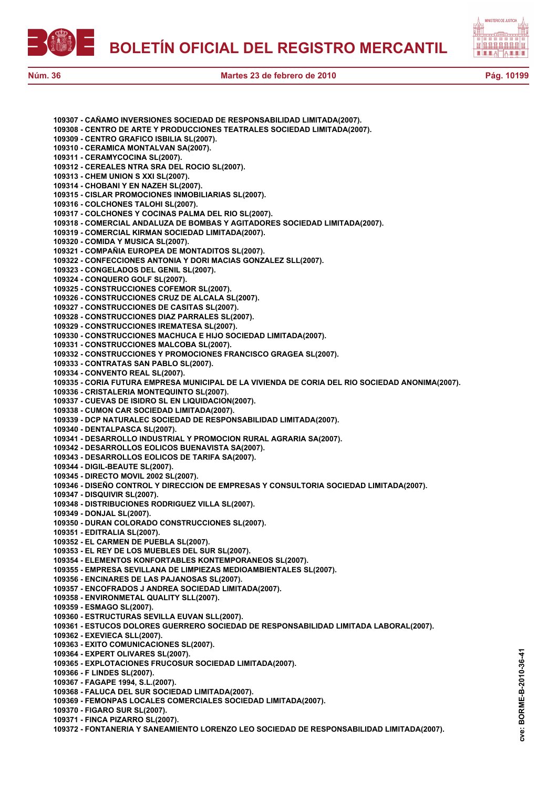



| 109307 - CAÑAMO INVERSIONES SOCIEDAD DE RESPONSABILIDAD LIMITADA(2007).                         |
|-------------------------------------------------------------------------------------------------|
| 109308 - CENTRO DE ARTE Y PRODUCCIONES TEATRALES SOCIEDAD LIMITADA(2007).                       |
| 109309 - CENTRO GRAFICO ISBILIA SL(2007).                                                       |
| 109310 - CERAMICA MONTALVAN SA(2007).                                                           |
| 109311 - CERAMYCOCINA SL(2007).                                                                 |
| 109312 - CEREALES NTRA SRA DEL ROCIO SL(2007).                                                  |
| 109313 - CHEM UNION S XXI SL(2007).                                                             |
| 109314 - CHOBANI Y EN NAZEH SL(2007).                                                           |
| 109315 - CISLAR PROMOCIONES INMOBILIARIAS SL(2007).                                             |
| 109316 - COLCHONES TALOHI SL(2007).                                                             |
| 109317 - COLCHONES Y COCINAS PALMA DEL RIO SL(2007).                                            |
| 109318 - COMERCIAL ANDALUZA DE BOMBAS Y AGITADORES SOCIEDAD LIMITADA(2007).                     |
| 109319 - COMERCIAL KIRMAN SOCIEDAD LIMITADA(2007).                                              |
| 109320 - COMIDA Y MUSICA SL(2007).                                                              |
| 109321 - COMPAÑIA EUROPEA DE MONTADITOS SL(2007).                                               |
| 109322 - CONFECCIONES ANTONIA Y DORI MACIAS GONZALEZ SLL(2007).                                 |
| 109323 - CONGELADOS DEL GENIL SL(2007).                                                         |
| 109324 - CONQUERO GOLF SL(2007).                                                                |
| 109325 - CONSTRUCCIONES COFEMOR SL(2007).<br>109326 - CONSTRUCCIONES CRUZ DE ALCALA SL(2007).   |
| 109327 - CONSTRUCCIONES DE CASITAS SL(2007).                                                    |
| 109328 - CONSTRUCCIONES DIAZ PARRALES SL(2007).                                                 |
| 109329 - CONSTRUCCIONES IREMATESA SL(2007).                                                     |
| 109330 - CONSTRUCCIONES MACHUCA E HIJO SOCIEDAD LIMITADA(2007).                                 |
| 109331 - CONSTRUCCIONES MALCOBA SL(2007).                                                       |
| 109332 - CONSTRUCCIONES Y PROMOCIONES FRANCISCO GRAGEA SL(2007).                                |
| 109333 - CONTRATAS SAN PABLO SL(2007).                                                          |
| 109334 - CONVENTO REAL SL(2007).                                                                |
| 109335 - CORIA FUTURA EMPRESA MUNICIPAL DE LA VIVIENDA DE CORIA DEL RIO SOCIEDAD ANONIMA(2007). |
| 109336 - CRISTALERIA MONTEQUINTO SL(2007).                                                      |
| 109337 - CUEVAS DE ISIDRO SL EN LIQUIDACION(2007).                                              |
| 109338 - CUMON CAR SOCIEDAD LIMITADA(2007).                                                     |
| 109339 - DCP NATURALEC SOCIEDAD DE RESPONSABILIDAD LIMITADA(2007).                              |
| 109340 - DENTALPASCA SL(2007).                                                                  |
| 109341 - DESARROLLO INDUSTRIAL Y PROMOCION RURAL AGRARIA SA(2007).                              |
| 109342 - DESARROLLOS EOLICOS BUENAVISTA SA(2007).                                               |
| 109343 - DESARROLLOS EOLICOS DE TARIFA SA(2007).                                                |
| 109344 - DIGIL-BEAUTE SL(2007).                                                                 |
| 109345 - DIRECTO MOVIL 2002 SL(2007).                                                           |
| 109346 - DISEÑO CONTROL Y DIRECCION DE EMPRESAS Y CONSULTORIA SOCIEDAD LIMITADA(2007).          |
| 109347 - DISQUIVIR SL(2007).                                                                    |
| 109348 - DISTRIBUCIONES RODRIGUEZ VILLA SL(2007).                                               |
| 109349 - DONJAL SL(2007).                                                                       |
| 109350 - DURAN COLORADO CONSTRUCCIONES SL(2007).                                                |
| 109351 - EDITRALIA SL(2007).                                                                    |
| 109352 - EL CARMEN DE PUEBLA SL(2007).                                                          |
| 109353 - EL REY DE LOS MUEBLES DEL SUR SL(2007).                                                |
| 109354 - ELEMENTOS KONFORTABLES KONTEMPORANEOS SL(2007).                                        |
| 109355 - EMPRESA SEVILLANA DE LIMPIEZAS MEDIOAMBIENTALES SL(2007).                              |
| 109356 - ENCINARES DE LAS PAJANOSAS SL(2007).                                                   |
| 109357 - ENCOFRADOS J ANDREA SOCIEDAD LIMITADA(2007).                                           |
| 109358 - ENVIRONMETAL QUALITY SLL(2007).                                                        |
| 109359 - ESMAGO SL(2007).                                                                       |
| 109360 - ESTRUCTURAS SEVILLA EUVAN SLL(2007).                                                   |
| 109361 - ESTUCOS DOLORES GUERRERO SOCIEDAD DE RESPONSABILIDAD LIMITADA LABORAL(2007).           |
| 109362 - EXEVIECA SLL(2007).                                                                    |
| 109363 - EXITO COMUNICACIONES SL(2007).                                                         |
| 109364 - EXPERT OLIVARES SL(2007).                                                              |
| 109365 - EXPLOTACIONES FRUCOSUR SOCIEDAD LIMITADA(2007).<br>109366 - F LINDES SL(2007).         |
| 109367 - FAGAPE 1994, S.L.(2007).                                                               |
| 109368 - FALUCA DEL SUR SOCIEDAD LIMITADA(2007).                                                |
| 109369 - FEMONPAS LOCALES COMERCIALES SOCIEDAD LIMITADA(2007).                                  |
| 109370 - FIGARO SUR SL(2007).                                                                   |
| 109371 - FINCA PIZARRO SL(2007).                                                                |
|                                                                                                 |

**109372 - FONTANERIA Y SANEAMIENTO LORENZO LEO SOCIEDAD DE RESPONSABILIDAD LIMITADA(2007).**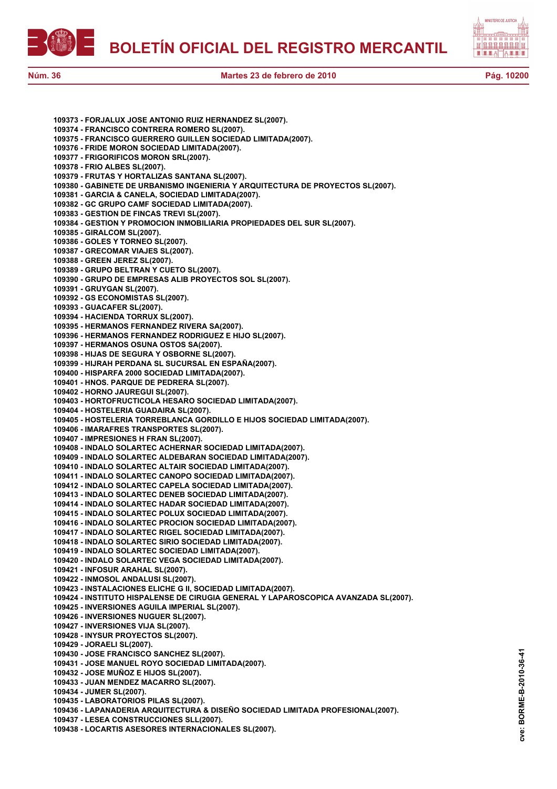**BOLETÍN OFICIAL DEL REGISTRO MERCANTIL**



**109373 - FORJALUX JOSE ANTONIO RUIZ HERNANDEZ SL(2007). 109374 - FRANCISCO CONTRERA ROMERO SL(2007). 109375 - FRANCISCO GUERRERO GUILLEN SOCIEDAD LIMITADA(2007). 109376 - FRIDE MORON SOCIEDAD LIMITADA(2007). 109377 - FRIGORIFICOS MORON SRL(2007). 109378 - FRIO ALBES SL(2007). 109379 - FRUTAS Y HORTALIZAS SANTANA SL(2007). 109380 - GABINETE DE URBANISMO INGENIERIA Y ARQUITECTURA DE PROYECTOS SL(2007). 109381 - GARCIA & CANELA, SOCIEDAD LIMITADA(2007). 109382 - GC GRUPO CAMF SOCIEDAD LIMITADA(2007). 109383 - GESTION DE FINCAS TREVI SL(2007). 109384 - GESTION Y PROMOCION INMOBILIARIA PROPIEDADES DEL SUR SL(2007). 109385 - GIRALCOM SL(2007). 109386 - GOLES Y TORNEO SL(2007). 109387 - GRECOMAR VIAJES SL(2007). 109388 - GREEN JEREZ SL(2007). 109389 - GRUPO BELTRAN Y CUETO SL(2007). 109390 - GRUPO DE EMPRESAS ALIB PROYECTOS SOL SL(2007). 109391 - GRUYGAN SL(2007). 109392 - GS ECONOMISTAS SL(2007). 109393 - GUACAFER SL(2007). 109394 - HACIENDA TORRUX SL(2007). 109395 - HERMANOS FERNANDEZ RIVERA SA(2007). 109396 - HERMANOS FERNANDEZ RODRIGUEZ E HIJO SL(2007). 109397 - HERMANOS OSUNA OSTOS SA(2007). 109398 - HIJAS DE SEGURA Y OSBORNE SL(2007). 109399 - HIJRAH PERDANA SL SUCURSAL EN ESPAÑA(2007). 109400 - HISPARFA 2000 SOCIEDAD LIMITADA(2007). 109401 - HNOS. PARQUE DE PEDRERA SL(2007). 109402 - HORNO JAUREGUI SL(2007). 109403 - HORTOFRUCTICOLA HESARO SOCIEDAD LIMITADA(2007). 109404 - HOSTELERIA GUADAIRA SL(2007). 109405 - HOSTELERIA TORREBLANCA GORDILLO E HIJOS SOCIEDAD LIMITADA(2007). 109406 - IMARAFRES TRANSPORTES SL(2007). 109407 - IMPRESIONES H FRAN SL(2007). 109408 - INDALO SOLARTEC ACHERNAR SOCIEDAD LIMITADA(2007). 109409 - INDALO SOLARTEC ALDEBARAN SOCIEDAD LIMITADA(2007). 109410 - INDALO SOLARTEC ALTAIR SOCIEDAD LIMITADA(2007). 109411 - INDALO SOLARTEC CANOPO SOCIEDAD LIMITADA(2007). 109412 - INDALO SOLARTEC CAPELA SOCIEDAD LIMITADA(2007). 109413 - INDALO SOLARTEC DENEB SOCIEDAD LIMITADA(2007). 109414 - INDALO SOLARTEC HADAR SOCIEDAD LIMITADA(2007). 109415 - INDALO SOLARTEC POLUX SOCIEDAD LIMITADA(2007). 109416 - INDALO SOLARTEC PROCION SOCIEDAD LIMITADA(2007). 109417 - INDALO SOLARTEC RIGEL SOCIEDAD LIMITADA(2007). 109418 - INDALO SOLARTEC SIRIO SOCIEDAD LIMITADA(2007). 109419 - INDALO SOLARTEC SOCIEDAD LIMITADA(2007). 109420 - INDALO SOLARTEC VEGA SOCIEDAD LIMITADA(2007). 109421 - INFOSUR ARAHAL SL(2007). 109422 - INMOSOL ANDALUSI SL(2007). 109423 - INSTALACIONES ELICHE G II, SOCIEDAD LIMITADA(2007). 109424 - INSTITUTO HISPALENSE DE CIRUGIA GENERAL Y LAPAROSCOPICA AVANZADA SL(2007). 109425 - INVERSIONES AGUILA IMPERIAL SL(2007). 109426 - INVERSIONES NUGUER SL(2007). 109427 - INVERSIONES VIJA SL(2007). 109428 - INYSUR PROYECTOS SL(2007). 109429 - JORAELI SL(2007). 109430 - JOSE FRANCISCO SANCHEZ SL(2007). 109431 - JOSE MANUEL ROYO SOCIEDAD LIMITADA(2007). 109432 - JOSE MUÑOZ E HIJOS SL(2007). 109433 - JUAN MENDEZ MACARRO SL(2007). 109434 - JUMER SL(2007). 109435 - LABORATORIOS PILAS SL(2007). 109436 - LAPANADERIA ARQUITECTURA & DISEÑO SOCIEDAD LIMITADA PROFESIONAL(2007). 109437 - LESEA CONSTRUCCIONES SLL(2007).**

**109438 - LOCARTIS ASESORES INTERNACIONALES SL(2007).**

BORME-B-2010-36-41 **cve: BORME-B-2010-36-41** cve: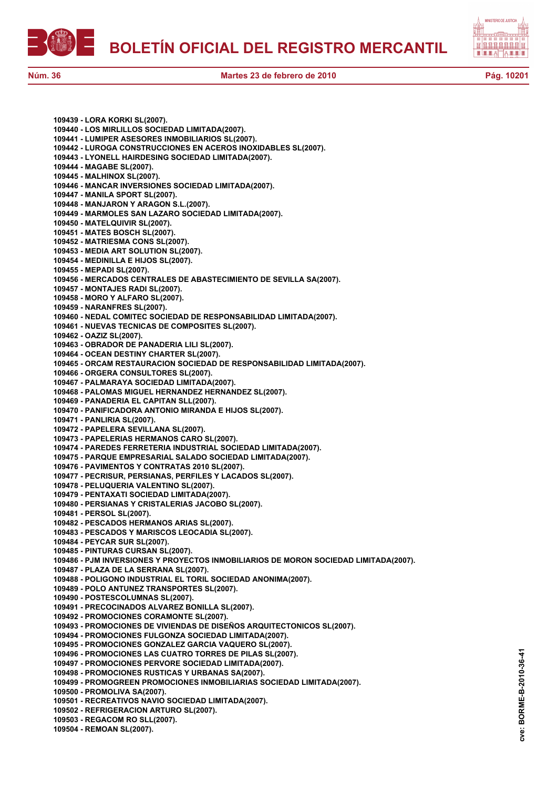



**109439 - LORA KORKI SL(2007). 109440 - LOS MIRLILLOS SOCIEDAD LIMITADA(2007). 109441 - LUMIPER ASESORES INMOBILIARIOS SL(2007). 109442 - LUROGA CONSTRUCCIONES EN ACEROS INOXIDABLES SL(2007). 109443 - LYONELL HAIRDESING SOCIEDAD LIMITADA(2007). 109444 - MAGABE SL(2007). 109445 - MALHINOX SL(2007). 109446 - MANCAR INVERSIONES SOCIEDAD LIMITADA(2007). 109447 - MANILA SPORT SL(2007). 109448 - MANJARON Y ARAGON S.L.(2007). 109449 - MARMOLES SAN LAZARO SOCIEDAD LIMITADA(2007). 109450 - MATELQUIVIR SL(2007). 109451 - MATES BOSCH SL(2007). 109452 - MATRIESMA CONS SL(2007). 109453 - MEDIA ART SOLUTION SL(2007). 109454 - MEDINILLA E HIJOS SL(2007). 109455 - MEPADI SL(2007). 109456 - MERCADOS CENTRALES DE ABASTECIMIENTO DE SEVILLA SA(2007). 109457 - MONTAJES RADI SL(2007). 109458 - MORO Y ALFARO SL(2007). 109459 - NARANFRES SL(2007). 109460 - NEDAL COMITEC SOCIEDAD DE RESPONSABILIDAD LIMITADA(2007). 109461 - NUEVAS TECNICAS DE COMPOSITES SL(2007). 109462 - OAZIZ SL(2007). 109463 - OBRADOR DE PANADERIA LILI SL(2007). 109464 - OCEAN DESTINY CHARTER SL(2007). 109465 - ORCAM RESTAURACION SOCIEDAD DE RESPONSABILIDAD LIMITADA(2007). 109466 - ORGERA CONSULTORES SL(2007). 109467 - PALMARAYA SOCIEDAD LIMITADA(2007). 109468 - PALOMAS MIGUEL HERNANDEZ HERNANDEZ SL(2007). 109469 - PANADERIA EL CAPITAN SLL(2007). 109470 - PANIFICADORA ANTONIO MIRANDA E HIJOS SL(2007). 109471 - PANLIRIA SL(2007). 109472 - PAPELERA SEVILLANA SL(2007). 109473 - PAPELERIAS HERMANOS CARO SL(2007). 109474 - PAREDES FERRETERIA INDUSTRIAL SOCIEDAD LIMITADA(2007). 109475 - PARQUE EMPRESARIAL SALADO SOCIEDAD LIMITADA(2007). 109476 - PAVIMENTOS Y CONTRATAS 2010 SL(2007). 109477 - PECRISUR, PERSIANAS, PERFILES Y LACADOS SL(2007). 109478 - PELUQUERIA VALENTINO SL(2007). 109479 - PENTAXATI SOCIEDAD LIMITADA(2007). 109480 - PERSIANAS Y CRISTALERIAS JACOBO SL(2007). 109481 - PERSOL SL(2007). 109482 - PESCADOS HERMANOS ARIAS SL(2007). 109483 - PESCADOS Y MARISCOS LEOCADIA SL(2007). 109484 - PEYCAR SUR SL(2007). 109485 - PINTURAS CURSAN SL(2007). 109486 - PJM INVERSIONES Y PROYECTOS INMOBILIARIOS DE MORON SOCIEDAD LIMITADA(2007). 109487 - PLAZA DE LA SERRANA SL(2007). 109488 - POLIGONO INDUSTRIAL EL TORIL SOCIEDAD ANONIMA(2007). 109489 - POLO ANTUNEZ TRANSPORTES SL(2007). 109490 - POSTESCOLUMNAS SL(2007). 109491 - PRECOCINADOS ALVAREZ BONILLA SL(2007). 109492 - PROMOCIONES CORAMONTE SL(2007). 109493 - PROMOCIONES DE VIVIENDAS DE DISEÑOS ARQUITECTONICOS SL(2007). 109494 - PROMOCIONES FULGONZA SOCIEDAD LIMITADA(2007). 109495 - PROMOCIONES GONZALEZ GARCIA VAQUERO SL(2007). 109496 - PROMOCIONES LAS CUATRO TORRES DE PILAS SL(2007). 109497 - PROMOCIONES PERVORE SOCIEDAD LIMITADA(2007). 109498 - PROMOCIONES RUSTICAS Y URBANAS SA(2007). 109499 - PROMOGREEN PROMOCIONES INMOBILIARIAS SOCIEDAD LIMITADA(2007). 109500 - PROMOLIVA SA(2007). 109501 - RECREATIVOS NAVIO SOCIEDAD LIMITADA(2007). 109502 - REFRIGERACION ARTURO SL(2007). 109503 - REGACOM RO SLL(2007). 109504 - REMOAN SL(2007).**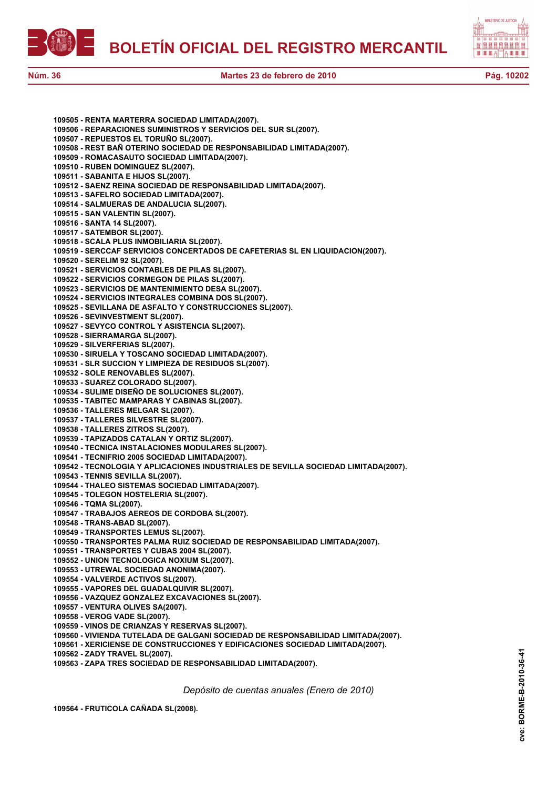



| 109505 - RENTA MARTERRA SOCIEDAD LIMITADA(2007).                                                 |
|--------------------------------------------------------------------------------------------------|
| 109506 - REPARACIONES SUMINISTROS Y SERVICIOS DEL SUR SL(2007).                                  |
| 109507 - REPUESTOS EL TORUÑO SL(2007).                                                           |
| 109508 - REST BAÑ OTERINO SOCIEDAD DE RESPONSABILIDAD LIMITADA(2007).                            |
| 109509 - ROMACASAUTO SOCIEDAD LIMITADA(2007).                                                    |
| 109510 - RUBEN DOMINGUEZ SL(2007).                                                               |
| 109511 - SABANITA E HIJOS SL(2007).                                                              |
| 109512 - SAENZ REINA SOCIEDAD DE RESPONSABILIDAD LIMITADA(2007).                                 |
| 109513 - SAFELRO SOCIEDAD LIMITADA(2007).                                                        |
| 109514 - SALMUERAS DE ANDALUCIA SL(2007).                                                        |
| 109515 - SAN VALENTIN SL(2007).                                                                  |
| 109516 - SANTA 14 SL(2007).                                                                      |
| 109517 - SATEMBOR SL(2007).                                                                      |
| 109518 - SCALA PLUS INMOBILIARIA SL(2007).                                                       |
| 109519 - SERCCAF SERVICIOS CONCERTADOS DE CAFETERIAS SL EN LIQUIDACION(2007).                    |
| 109520 - SERELIM 92 SL(2007).                                                                    |
| 109521 - SERVICIOS CONTABLES DE PILAS SL(2007).                                                  |
| 109522 - SERVICIOS CORMEGON DE PILAS SL(2007).                                                   |
| 109523 - SERVICIOS DE MANTENIMIENTO DESA SL(2007).                                               |
| 109524 - SERVICIOS INTEGRALES COMBINA DOS SL(2007).                                              |
| 109525 - SEVILLANA DE ASFALTO Y CONSTRUCCIONES SL(2007).                                         |
| 109526 - SEVINVESTMENT SL(2007).                                                                 |
| 109527 - SEVYCO CONTROL Y ASISTENCIA SL(2007).                                                   |
| 109528 - SIERRAMARGA SL(2007).                                                                   |
| 109529 - SILVERFERIAS SL(2007).                                                                  |
| 109530 - SIRUELA Y TOSCANO SOCIEDAD LIMITADA(2007).                                              |
| 109531 - SLR SUCCION Y LIMPIEZA DE RESIDUOS SL(2007).                                            |
| 109532 - SOLE RENOVABLES SL(2007).                                                               |
| 109533 - SUAREZ COLORADO SL(2007).                                                               |
| 109534 - SULIME DISEÑO DE SOLUCIONES SL(2007).                                                   |
| 109535 - TABITEC MAMPARAS Y CABINAS SL(2007).                                                    |
| 109536 - TALLERES MELGAR SL(2007).                                                               |
| 109537 - TALLERES SILVESTRE SL(2007).                                                            |
| 109538 - TALLERES ZITROS SL(2007).                                                               |
| 109539 - TAPIZADOS CATALAN Y ORTIZ SL(2007).                                                     |
| 109540 - TECNICA INSTALACIONES MODULARES SL(2007).                                               |
| 109541 - TECNIFRIO 2005 SOCIEDAD LIMITADA(2007).                                                 |
| 109542 - TECNOLOGIA Y APLICACIONES INDUSTRIALES DE SEVILLA SOCIEDAD LIMITADA(2007).              |
| 109543 - TENNIS SEVILLA SL(2007).                                                                |
| 109544 - THALEO SISTEMAS SOCIEDAD LIMITADA(2007).                                                |
| 109545 - TOLEGON HOSTELERIA SL(2007).                                                            |
| 109546 - TQMA SL(2007).                                                                          |
| 109547 - TRABAJOS AEREOS DE CORDOBA SL(2007).                                                    |
| 109548 - TRANS-ABAD SL(2007).                                                                    |
| 109549 - TRANSPORTES LEMUS SL(2007).                                                             |
| 109550 - TRANSPORTES PALMA RUIZ SOCIEDAD DE RESPONSABILIDAD LIMITADA(2007).                      |
| 109551 - TRANSPORTES Y CUBAS 2004 SL(2007).                                                      |
| 109552 - UNION TECNOLOGICA NOXIUM SL(2007).                                                      |
| 109553 - UTREWAL SOCIEDAD ANONIMA(2007).                                                         |
| 109554 - VALVERDE ACTIVOS SL(2007).                                                              |
| 109555 - VAPORES DEL GUADALQUIVIR SL(2007).                                                      |
|                                                                                                  |
| 109556 - VAZQUEZ GONZALEZ EXCAVACIONES SL(2007).<br>109557 - VENTURA OLIVES SA(2007).            |
| 109558 - VEROG VADE SL(2007).                                                                    |
|                                                                                                  |
| 109559 - VINOS DE CRIANZAS Y RESERVAS SL(2007).                                                  |
| 109560 - VIVIENDA TUTELADA DE GALGANI SOCIEDAD DE RESPONSABILIDAD LIMITADA(2007).                |
| 109561 - XERICIENSE DE CONSTRUCCIONES Y EDIFICACIONES SOCIEDAD LIMITADA(2007).                   |
| 109562 - ZADY TRAVEL SL(2007).<br>109563 - ZAPA TRES SOCIEDAD DE RESPONSABILIDAD LIMITADA(2007). |
|                                                                                                  |
|                                                                                                  |

*Depósito de cuentas anuales (Enero de 2010)*

**109564 - FRUTICOLA CAÑADA SL(2008).**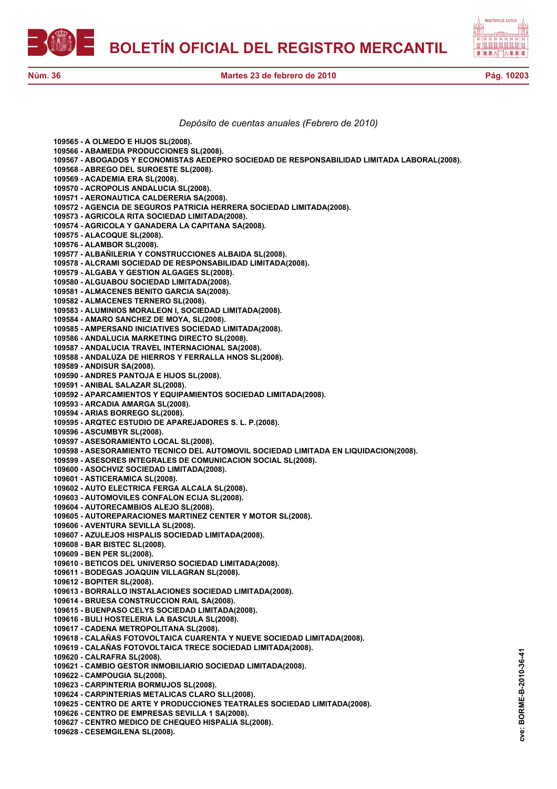



*Depósito de cuentas anuales (Febrero de 2010)*

**109565 - A OLMEDO E HIJOS SL(2008). 109566 - ABAMEDIA PRODUCCIONES SL(2008). 109567 - ABOGADOS Y ECONOMISTAS AEDEPRO SOCIEDAD DE RESPONSABILIDAD LIMITADA LABORAL(2008). 109568 - ABREGO DEL SUROESTE SL(2008). 109569 - ACADEMIA ERA SL(2008). 109570 - ACROPOLIS ANDALUCIA SL(2008). 109571 - AERONAUTICA CALDERERIA SA(2008). 109572 - AGENCIA DE SEGUROS PATRICIA HERRERA SOCIEDAD LIMITADA(2008). 109573 - AGRICOLA RITA SOCIEDAD LIMITADA(2008). 109574 - AGRICOLA Y GANADERA LA CAPITANA SA(2008). 109575 - ALACOQUE SL(2008). 109576 - ALAMBOR SL(2008). 109577 - ALBAÑILERIA Y CONSTRUCCIONES ALBAIDA SL(2008). 109578 - ALCRAMI SOCIEDAD DE RESPONSABILIDAD LIMITADA(2008). 109579 - ALGABA Y GESTION ALGAGES SL(2008). 109580 - ALGUABOU SOCIEDAD LIMITADA(2008). 109581 - ALMACENES BENITO GARCIA SA(2008). 109582 - ALMACENES TERNERO SL(2008). 109583 - ALUMINIOS MORALEON I, SOCIEDAD LIMITADA(2008). 109584 - AMARO SANCHEZ DE MOYA, SL(2008). 109585 - AMPERSAND INICIATIVES SOCIEDAD LIMITADA(2008). 109586 - ANDALUCIA MARKETING DIRECTO SL(2008). 109587 - ANDALUCIA TRAVEL INTERNACIONAL SA(2008). 109588 - ANDALUZA DE HIERROS Y FERRALLA HNOS SL(2008). 109589 - ANDISUR SA(2008). 109590 - ANDRES PANTOJA E HIJOS SL(2008). 109591 - ANIBAL SALAZAR SL(2008). 109592 - APARCAMIENTOS Y EQUIPAMIENTOS SOCIEDAD LIMITADA(2008). 109593 - ARCADIA AMARGA SL(2008). 109594 - ARIAS BORREGO SL(2008). 109595 - ARQTEC ESTUDIO DE APAREJADORES S. L. P.(2008). 109596 - ASCUMBYR SL(2008). 109597 - ASESORAMIENTO LOCAL SL(2008). 109598 - ASESORAMIENTO TECNICO DEL AUTOMOVIL SOCIEDAD LIMITADA EN LIQUIDACION(2008). 109599 - ASESORES INTEGRALES DE COMUNICACION SOCIAL SL(2008). 109600 - ASOCHVIZ SOCIEDAD LIMITADA(2008). 109601 - ASTICERAMICA SL(2008). 109602 - AUTO ELECTRICA FERGA ALCALA SL(2008). 109603 - AUTOMOVILES CONFALON ECIJA SL(2008). 109604 - AUTORECAMBIOS ALEJO SL(2008). 109605 - AUTOREPARACIONES MARTINEZ CENTER Y MOTOR SL(2008). 109606 - AVENTURA SEVILLA SL(2008). 109607 - AZULEJOS HISPALIS SOCIEDAD LIMITADA(2008). 109608 - BAR BISTEC SL(2008). 109609 - BEN PER SL(2008). 109610 - BETICOS DEL UNIVERSO SOCIEDAD LIMITADA(2008). 109611 - BODEGAS JOAQUIN VILLAGRAN SL(2008). 109612 - BOPITER SL(2008). 109613 - BORRALLO INSTALACIONES SOCIEDAD LIMITADA(2008). 109614 - BRUESA CONSTRUCCION RAIL SA(2008). 109615 - BUENPASO CELYS SOCIEDAD LIMITADA(2008). 109616 - BULI HOSTELERIA LA BASCULA SL(2008). 109617 - CADENA METROPOLITANA SL(2008). 109618 - CALAÑAS FOTOVOLTAICA CUARENTA Y NUEVE SOCIEDAD LIMITADA(2008). 109619 - CALAÑAS FOTOVOLTAICA TRECE SOCIEDAD LIMITADA(2008). 109620 - CALRAFRA SL(2008). 109621 - CAMBIO GESTOR INMOBILIARIO SOCIEDAD LIMITADA(2008). 109622 - CAMPOUGIA SL(2008). 109623 - CARPINTERIA BORMUJOS SL(2008). 109624 - CARPINTERIAS METALICAS CLARO SLL(2008). 109625 - CENTRO DE ARTE Y PRODUCCIONES TEATRALES SOCIEDAD LIMITADA(2008). 109626 - CENTRO DE EMPRESAS SEVILLA 1 SA(2008). 109627 - CENTRO MEDICO DE CHEQUEO HISPALIA SL(2008). 109628 - CESEMGILENA SL(2008).**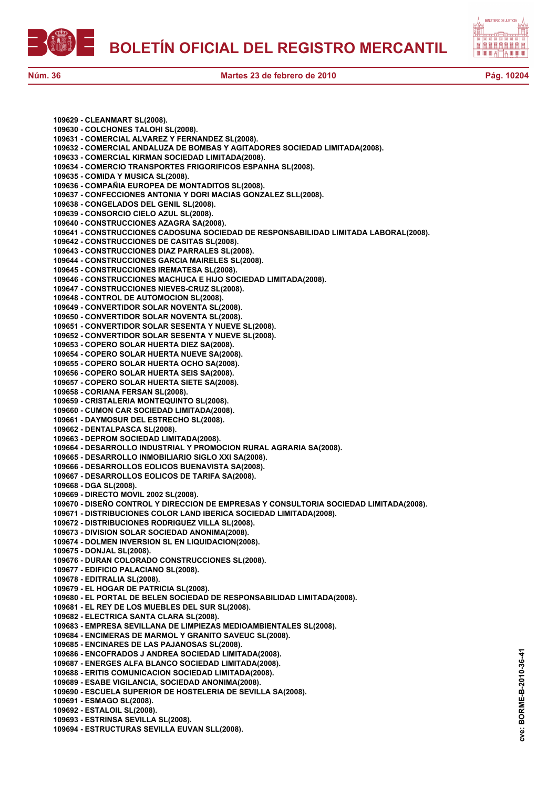



**109629 - CLEANMART SL(2008). 109630 - COLCHONES TALOHI SL(2008). 109631 - COMERCIAL ALVAREZ Y FERNANDEZ SL(2008). 109632 - COMERCIAL ANDALUZA DE BOMBAS Y AGITADORES SOCIEDAD LIMITADA(2008). 109633 - COMERCIAL KIRMAN SOCIEDAD LIMITADA(2008). 109634 - COMERCIO TRANSPORTES FRIGORIFICOS ESPANHA SL(2008). 109635 - COMIDA Y MUSICA SL(2008). 109636 - COMPAÑIA EUROPEA DE MONTADITOS SL(2008). 109637 - CONFECCIONES ANTONIA Y DORI MACIAS GONZALEZ SLL(2008). 109638 - CONGELADOS DEL GENIL SL(2008). 109639 - CONSORCIO CIELO AZUL SL(2008). 109640 - CONSTRUCCIONES AZAGRA SA(2008). 109641 - CONSTRUCCIONES CADOSUNA SOCIEDAD DE RESPONSABILIDAD LIMITADA LABORAL(2008). 109642 - CONSTRUCCIONES DE CASITAS SL(2008). 109643 - CONSTRUCCIONES DIAZ PARRALES SL(2008). 109644 - CONSTRUCCIONES GARCIA MAIRELES SL(2008). 109645 - CONSTRUCCIONES IREMATESA SL(2008). 109646 - CONSTRUCCIONES MACHUCA E HIJO SOCIEDAD LIMITADA(2008). 109647 - CONSTRUCCIONES NIEVES-CRUZ SL(2008). 109648 - CONTROL DE AUTOMOCION SL(2008). 109649 - CONVERTIDOR SOLAR NOVENTA SL(2008). 109650 - CONVERTIDOR SOLAR NOVENTA SL(2008). 109651 - CONVERTIDOR SOLAR SESENTA Y NUEVE SL(2008). 109652 - CONVERTIDOR SOLAR SESENTA Y NUEVE SL(2008). 109653 - COPERO SOLAR HUERTA DIEZ SA(2008). 109654 - COPERO SOLAR HUERTA NUEVE SA(2008). 109655 - COPERO SOLAR HUERTA OCHO SA(2008). 109656 - COPERO SOLAR HUERTA SEIS SA(2008). 109657 - COPERO SOLAR HUERTA SIETE SA(2008). 109658 - CORIANA FERSAN SL(2008). 109659 - CRISTALERIA MONTEQUINTO SL(2008). 109660 - CUMON CAR SOCIEDAD LIMITADA(2008). 109661 - DAYMOSUR DEL ESTRECHO SL(2008). 109662 - DENTALPASCA SL(2008). 109663 - DEPROM SOCIEDAD LIMITADA(2008). 109664 - DESARROLLO INDUSTRIAL Y PROMOCION RURAL AGRARIA SA(2008). 109665 - DESARROLLO INMOBILIARIO SIGLO XXI SA(2008). 109666 - DESARROLLOS EOLICOS BUENAVISTA SA(2008). 109667 - DESARROLLOS EOLICOS DE TARIFA SA(2008). 109668 - DGA SL(2008). 109669 - DIRECTO MOVIL 2002 SL(2008). 109670 - DISEÑO CONTROL Y DIRECCION DE EMPRESAS Y CONSULTORIA SOCIEDAD LIMITADA(2008). 109671 - DISTRIBUCIONES COLOR LAND IBERICA SOCIEDAD LIMITADA(2008). 109672 - DISTRIBUCIONES RODRIGUEZ VILLA SL(2008). 109673 - DIVISION SOLAR SOCIEDAD ANONIMA(2008). 109674 - DOLMEN INVERSION SL EN LIQUIDACION(2008). 109675 - DONJAL SL(2008). 109676 - DURAN COLORADO CONSTRUCCIONES SL(2008). 109677 - EDIFICIO PALACIANO SL(2008). 109678 - EDITRALIA SL(2008). 109679 - EL HOGAR DE PATRICIA SL(2008). 109680 - EL PORTAL DE BELEN SOCIEDAD DE RESPONSABILIDAD LIMITADA(2008). 109681 - EL REY DE LOS MUEBLES DEL SUR SL(2008). 109682 - ELECTRICA SANTA CLARA SL(2008). 109683 - EMPRESA SEVILLANA DE LIMPIEZAS MEDIOAMBIENTALES SL(2008). 109684 - ENCIMERAS DE MARMOL Y GRANITO SAVEUC SL(2008). 109685 - ENCINARES DE LAS PAJANOSAS SL(2008). 109686 - ENCOFRADOS J ANDREA SOCIEDAD LIMITADA(2008). 109687 - ENERGES ALFA BLANCO SOCIEDAD LIMITADA(2008). 109688 - ERITIS COMUNICACION SOCIEDAD LIMITADA(2008). 109689 - ESABE VIGILANCIA, SOCIEDAD ANONIMA(2008). 109690 - ESCUELA SUPERIOR DE HOSTELERIA DE SEVILLA SA(2008). 109691 - ESMAGO SL(2008). 109692 - ESTALOIL SL(2008). 109693 - ESTRINSA SEVILLA SL(2008). 109694 - ESTRUCTURAS SEVILLA EUVAN SLL(2008).**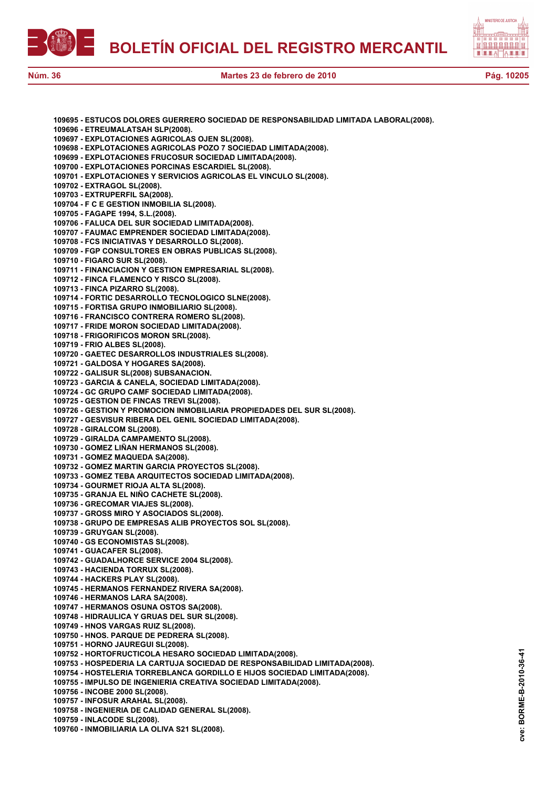



| 109695 - ESTUCOS DOLORES GUERRERO SOCIEDAD DE RESPONSABILIDAD LIMITADA LABORAL(2008). |
|---------------------------------------------------------------------------------------|
| 109696 - ETREUMALATSAH SLP(2008).                                                     |
|                                                                                       |
| 109697 - EXPLOTACIONES AGRICOLAS OJEN SL(2008).                                       |
| 109698 - EXPLOTACIONES AGRICOLAS POZO 7 SOCIEDAD LIMITADA(2008).                      |
| 109699 - EXPLOTACIONES FRUCOSUR SOCIEDAD LIMITADA(2008).                              |
|                                                                                       |
| 109700 - EXPLOTACIONES PORCINAS ESCARDIEL SL(2008).                                   |
| 109701 - EXPLOTACIONES Y SERVICIOS AGRICOLAS EL VINCULO SL(2008).                     |
| 109702 - EXTRAGOL SL(2008).                                                           |
| 109703 - EXTRUPERFIL SA(2008).                                                        |
|                                                                                       |
| 109704 - F C E GESTION INMOBILIA SL(2008).                                            |
| 109705 - FAGAPE 1994, S.L.(2008).                                                     |
| 109706 - FALUCA DEL SUR SOCIEDAD LIMITADA(2008).                                      |
| 109707 - FAUMAC EMPRENDER SOCIEDAD LIMITADA(2008).                                    |
| 109708 - FCS INICIATIVAS Y DESARROLLO SL(2008).                                       |
|                                                                                       |
| 109709 - FGP CONSULTORES EN OBRAS PUBLICAS SL(2008).                                  |
| 109710 - FIGARO SUR SL(2008).                                                         |
| 109711 - FINANCIACION Y GESTION EMPRESARIAL SL(2008).                                 |
| 109712 - FINCA FLAMENCO Y RISCO SL(2008).                                             |
|                                                                                       |
| 109713 - FINCA PIZARRO SL(2008).                                                      |
| 109714 - FORTIC DESARROLLO TECNOLOGICO SLNE(2008).                                    |
| 109715 - FORTISA GRUPO INMOBILIARIO SL(2008).                                         |
| 109716 - FRANCISCO CONTRERA ROMERO SL(2008).                                          |
|                                                                                       |
| 109717 - FRIDE MORON SOCIEDAD LIMITADA(2008).                                         |
| 109718 - FRIGORIFICOS MORON SRL(2008).                                                |
| 109719 - FRIO ALBES SL(2008).                                                         |
| 109720 - GAETEC DESARROLLOS INDUSTRIALES SL(2008).                                    |
| 109721 - GALDOSA Y HOGARES SA(2008).                                                  |
|                                                                                       |
| 109722 - GALISUR SL(2008) SUBSANACION.                                                |
| 109723 - GARCIA & CANELA, SOCIEDAD LIMITADA(2008).                                    |
| 109724 - GC GRUPO CAMF SOCIEDAD LIMITADA(2008).                                       |
| 109725 - GESTION DE FINCAS TREVI SL(2008).                                            |
| 109726 - GESTION Y PROMOCION INMOBILIARIA PROPIEDADES DEL SUR SL(2008).               |
|                                                                                       |
| 109727 - GESVISUR RIBERA DEL GENIL SOCIEDAD LIMITADA(2008).                           |
| 109728 - GIRALCOM SL(2008).                                                           |
| 109729 - GIRALDA CAMPAMENTO SL(2008).                                                 |
| 109730 - GOMEZ LIÑAN HERMANOS SL(2008).                                               |
| 109731 - GOMEZ MAQUEDA SA(2008).                                                      |
|                                                                                       |
|                                                                                       |
| 109732 - GOMEZ MARTIN GARCIA PROYECTOS SL(2008).                                      |
| 109733 - GOMEZ TEBA ARQUITECTOS SOCIEDAD LIMITADA(2008).                              |
| 109734 - GOURMET RIOJA ALTA SL(2008).                                                 |
| 109735 - GRANJA EL NIÑO CACHETE SL(2008).                                             |
|                                                                                       |
| 109736 - GRECOMAR VIAJES SL(2008).                                                    |
| 109737 - GROSS MIRO Y ASOCIADOS SL(2008).                                             |
| 109738 - GRUPO DE EMPRESAS ALIB PROYECTOS SOL SL(2008).                               |
| 109739 - GRUYGAN SL(2008).                                                            |
| 109740 - GS ECONOMISTAS SL(2008).                                                     |
|                                                                                       |
| 109741 - GUACAFER SL(2008).                                                           |
| 109742 - GUADALHORCE SERVICE 2004 SL(2008).                                           |
| 109743 - HACIENDA TORRUX SL(2008).                                                    |
| 109744 - HACKERS PLAY SL(2008).                                                       |
|                                                                                       |
| 109745 - HERMANOS FERNANDEZ RIVERA SA(2008).                                          |
| 109746 - HERMANOS LARA SA(2008).                                                      |
| 109747 - HERMANOS OSUNA OSTOS SA(2008).                                               |
| 109748 - HIDRAULICA Y GRUAS DEL SUR SL(2008).                                         |
| 109749 - HNOS VARGAS RUIZ SL(2008).                                                   |
|                                                                                       |
| 109750 - HNOS. PARQUE DE PEDRERA SL(2008).                                            |
| 109751 - HORNO JAUREGUI SL(2008).                                                     |
| 109752 - HORTOFRUCTICOLA HESARO SOCIEDAD LIMITADA(2008).                              |
| 109753 - HOSPEDERIA LA CARTUJA SOCIEDAD DE RESPONSABILIDAD LIMITADA(2008).            |
| 109754 - HOSTELERIA TORREBLANCA GORDILLO E HIJOS SOCIEDAD LIMITADA(2008).             |
| 109755 - IMPULSO DE INGENIERIA CREATIVA SOCIEDAD LIMITADA(2008).                      |
|                                                                                       |
| 109756 - INCOBE 2000 SL(2008).                                                        |
| 109757 - INFOSUR ARAHAL SL(2008).                                                     |
| 109758 - INGENIERIA DE CALIDAD GENERAL SL(2008).<br>109759 - INLACODE SL(2008).       |

**109760 - INMOBILIARIA LA OLIVA S21 SL(2008).**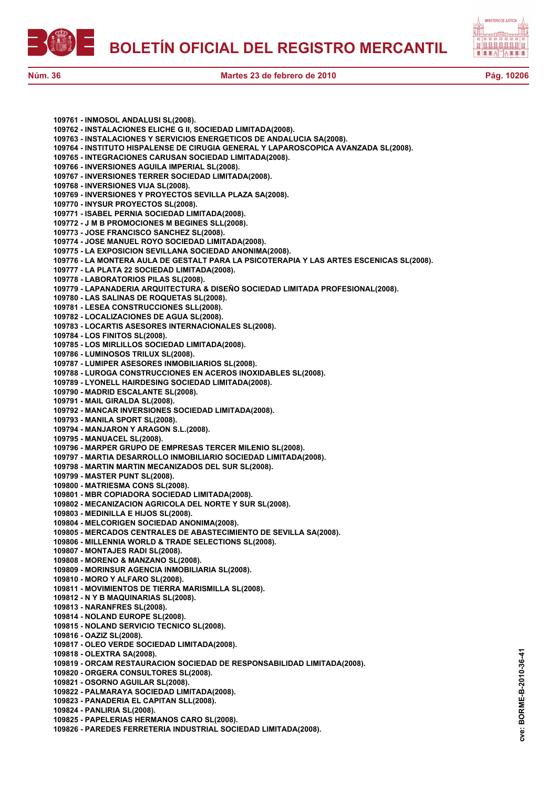

自自自自自自自自 <u>ah ti</u> e

**109761 - INMOSOL ANDALUSI SL(2008). 109762 - INSTALACIONES ELICHE G II, SOCIEDAD LIMITADA(2008). 109763 - INSTALACIONES Y SERVICIOS ENERGETICOS DE ANDALUCIA SA(2008). 109764 - INSTITUTO HISPALENSE DE CIRUGIA GENERAL Y LAPAROSCOPICA AVANZADA SL(2008). 109765 - INTEGRACIONES CARUSAN SOCIEDAD LIMITADA(2008). 109766 - INVERSIONES AGUILA IMPERIAL SL(2008). 109767 - INVERSIONES TERRER SOCIEDAD LIMITADA(2008). 109768 - INVERSIONES VIJA SL(2008). 109769 - INVERSIONES Y PROYECTOS SEVILLA PLAZA SA(2008). 109770 - INYSUR PROYECTOS SL(2008). 109771 - ISABEL PERNIA SOCIEDAD LIMITADA(2008). 109772 - J M B PROMOCIONES M BEGINES SLL(2008). 109773 - JOSE FRANCISCO SANCHEZ SL(2008). 109774 - JOSE MANUEL ROYO SOCIEDAD LIMITADA(2008). 109775 - LA EXPOSICION SEVILLANA SOCIEDAD ANONIMA(2008). 109776 - LA MONTERA AULA DE GESTALT PARA LA PSICOTERAPIA Y LAS ARTES ESCENICAS SL(2008). 109777 - LA PLATA 22 SOCIEDAD LIMITADA(2008). 109778 - LABORATORIOS PILAS SL(2008). 109779 - LAPANADERIA ARQUITECTURA & DISEÑO SOCIEDAD LIMITADA PROFESIONAL(2008). 109780 - LAS SALINAS DE ROQUETAS SL(2008). 109781 - LESEA CONSTRUCCIONES SLL(2008). 109782 - LOCALIZACIONES DE AGUA SL(2008). 109783 - LOCARTIS ASESORES INTERNACIONALES SL(2008). 109784 - LOS FINITOS SL(2008). 109785 - LOS MIRLILLOS SOCIEDAD LIMITADA(2008). 109786 - LUMINOSOS TRILUX SL(2008). 109787 - LUMIPER ASESORES INMOBILIARIOS SL(2008). 109788 - LUROGA CONSTRUCCIONES EN ACEROS INOXIDABLES SL(2008). 109789 - LYONELL HAIRDESING SOCIEDAD LIMITADA(2008). 109790 - MADRID ESCALANTE SL(2008). 109791 - MAIL GIRALDA SL(2008). 109792 - MANCAR INVERSIONES SOCIEDAD LIMITADA(2008). 109793 - MANILA SPORT SL(2008). 109794 - MANJARON Y ARAGON S.L.(2008). 109795 - MANUACEL SL(2008). 109796 - MARPER GRUPO DE EMPRESAS TERCER MILENIO SL(2008). 109797 - MARTIA DESARROLLO INMOBILIARIO SOCIEDAD LIMITADA(2008). 109798 - MARTIN MARTIN MECANIZADOS DEL SUR SL(2008). 109799 - MASTER PUNT SL(2008). 109800 - MATRIESMA CONS SL(2008). 109801 - MBR COPIADORA SOCIEDAD LIMITADA(2008). 109802 - MECANIZACION AGRICOLA DEL NORTE Y SUR SL(2008). 109803 - MEDINILLA E HIJOS SL(2008). 109804 - MELCORIGEN SOCIEDAD ANONIMA(2008). 109805 - MERCADOS CENTRALES DE ABASTECIMIENTO DE SEVILLA SA(2008). 109806 - MILLENNIA WORLD & TRADE SELECTIONS SL(2008). 109807 - MONTAJES RADI SL(2008). 109808 - MORENO & MANZANO SL(2008). 109809 - MORINSUR AGENCIA INMOBILIARIA SL(2008). 109810 - MORO Y ALFARO SL(2008). 109811 - MOVIMIENTOS DE TIERRA MARISMILLA SL(2008). 109812 - N Y B MAQUINARIAS SL(2008). 109813 - NARANFRES SL(2008). 109814 - NOLAND EUROPE SL(2008). 109815 - NOLAND SERVICIO TECNICO SL(2008). 109816 - OAZIZ SL(2008). 109817 - OLEO VERDE SOCIEDAD LIMITADA(2008). 109818 - OLEXTRA SA(2008). 109819 - ORCAM RESTAURACION SOCIEDAD DE RESPONSABILIDAD LIMITADA(2008). 109820 - ORGERA CONSULTORES SL(2008). 109821 - OSORNO AGUILAR SL(2008). 109822 - PALMARAYA SOCIEDAD LIMITADA(2008). 109823 - PANADERIA EL CAPITAN SLL(2008). 109824 - PANLIRIA SL(2008). 109825 - PAPELERIAS HERMANOS CARO SL(2008). 109826 - PAREDES FERRETERIA INDUSTRIAL SOCIEDAD LIMITADA(2008).**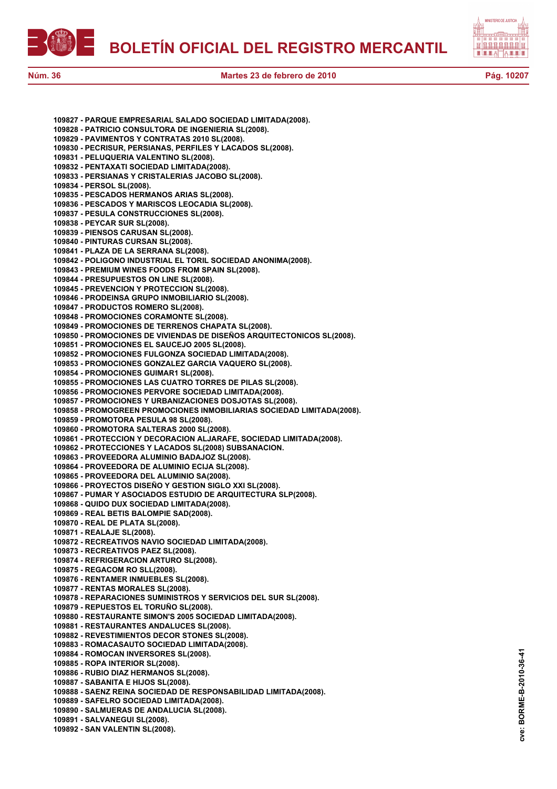**BOLETÍN OFICIAL DEL REGISTRO MERCANTIL**



**Núm. 36 Martes 23 de febrero de 2010 Pág. 10207**

**109827 - PARQUE EMPRESARIAL SALADO SOCIEDAD LIMITADA(2008).**

**109830 - PECRISUR, PERSIANAS, PERFILES Y LACADOS SL(2008).**

**109828 - PATRICIO CONSULTORA DE INGENIERIA SL(2008). 109829 - PAVIMENTOS Y CONTRATAS 2010 SL(2008).**

**109831 - PELUQUERIA VALENTINO SL(2008). 109832 - PENTAXATI SOCIEDAD LIMITADA(2008).**





BORME-B-2010-36-41 **cve: BORME-B-2010-36-41** cve: